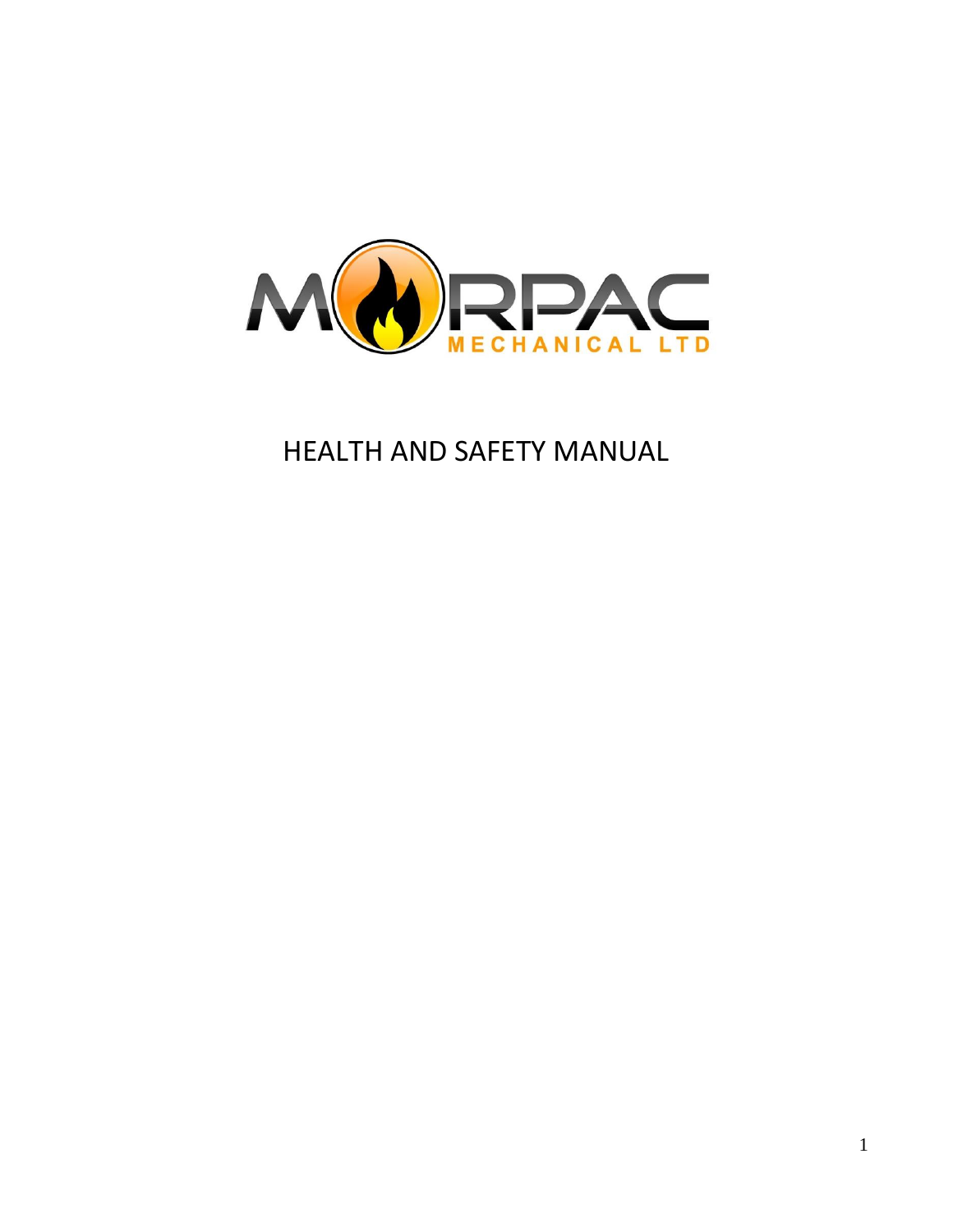

HEALTH AND SAFETY MANUAL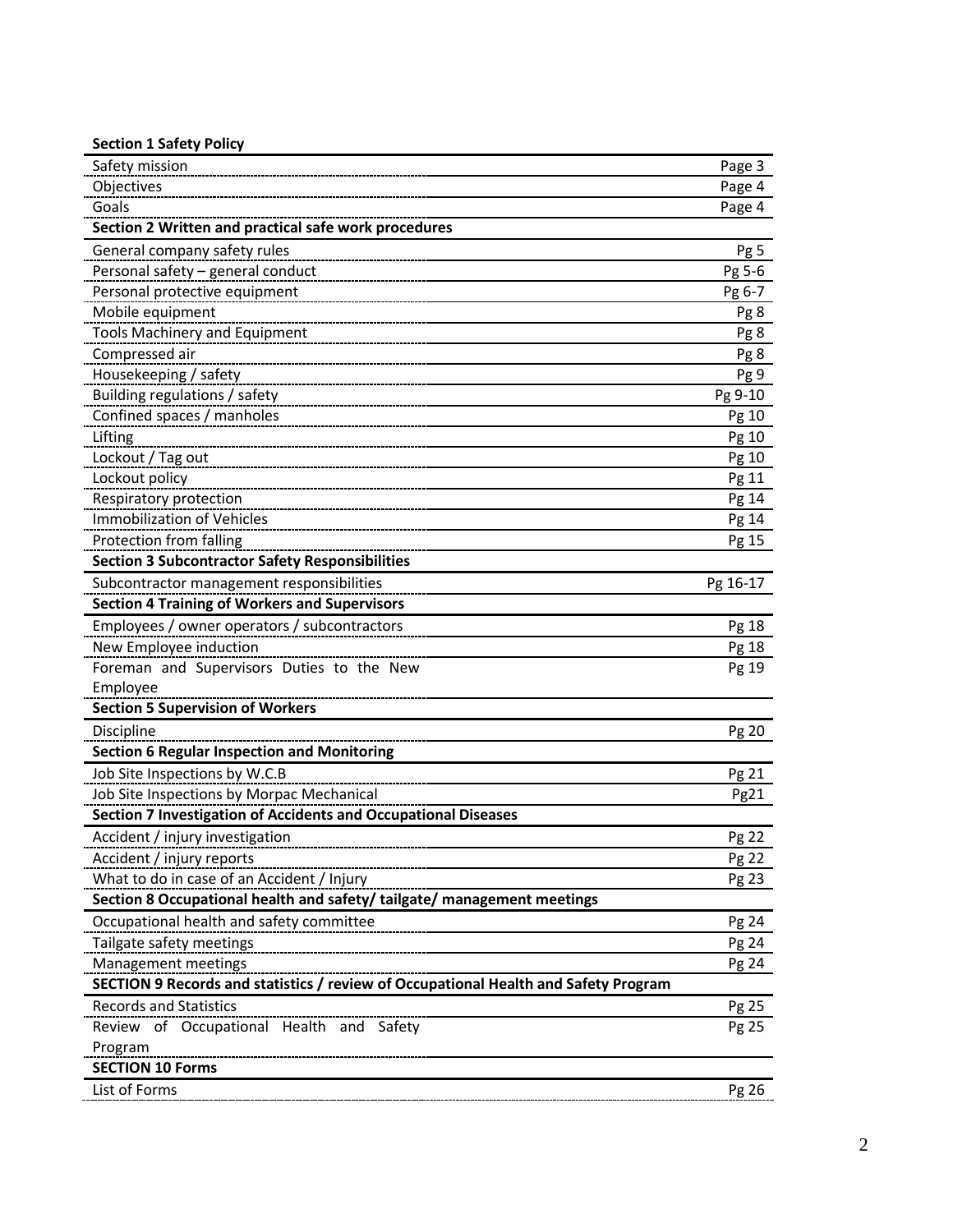| <b>Section 1 Safety Policy</b>                                                      |          |
|-------------------------------------------------------------------------------------|----------|
| Safety mission                                                                      | Page 3   |
| Objectives                                                                          | Page 4   |
| Goals                                                                               | Page 4   |
| Section 2 Written and practical safe work procedures                                |          |
| General company safety rules                                                        | Pg 5     |
| Personal safety - general conduct                                                   | Pg 5-6   |
| Personal protective equipment                                                       | Pg 6-7   |
| Mobile equipment                                                                    | Pg 8     |
| <b>Tools Machinery and Equipment</b>                                                | Pg 8     |
| Compressed air                                                                      | Pg 8     |
| Housekeeping / safety                                                               | Pg 9     |
| Building regulations / safety                                                       | Pg 9-10  |
| Confined spaces / manholes                                                          | Pg 10    |
| Lifting                                                                             | Pg 10    |
| Lockout / Tag out                                                                   | Pg 10    |
| Lockout policy                                                                      | Pg 11    |
| Respiratory protection                                                              | Pg 14    |
| <b>Immobilization of Vehicles</b>                                                   | Pg 14    |
| Protection from falling                                                             | Pg 15    |
| <b>Section 3 Subcontractor Safety Responsibilities</b>                              |          |
| Subcontractor management responsibilities                                           | Pg 16-17 |
| <b>Section 4 Training of Workers and Supervisors</b>                                |          |
| Employees / owner operators / subcontractors                                        | Pg 18    |
| New Employee induction                                                              | Pg 18    |
| Foreman and Supervisors Duties to the New                                           | Pg 19    |
| Employee                                                                            |          |
| <b>Section 5 Supervision of Workers</b>                                             |          |
| Discipline                                                                          | Pg 20    |
| <b>Section 6 Regular Inspection and Monitoring</b>                                  |          |
| Job Site Inspections by W.C.B                                                       | Pg 21    |
| Job Site Inspections by Morpac Mechanical                                           | Pg21     |
| Section 7 Investigation of Accidents and Occupational Diseases                      |          |
| Accident / injury investigation                                                     | Pg 22    |
| Accident / injury reports                                                           | Pg 22    |
| What to do in case of an Accident / Injury                                          | Pg 23    |
| Section 8 Occupational health and safety/tailgate/management meetings               |          |
| Occupational health and safety committee                                            | Pg 24    |
| Tailgate safety meetings                                                            | Pg 24    |
| Management meetings                                                                 | Pg 24    |
| SECTION 9 Records and statistics / review of Occupational Health and Safety Program |          |
| <b>Records and Statistics</b>                                                       | Pg 25    |
| Review of Occupational Health and Safety                                            | Pg 25    |
| Program                                                                             |          |
| <b>SECTION 10 Forms</b>                                                             |          |
| List of Forms                                                                       | Pg 26    |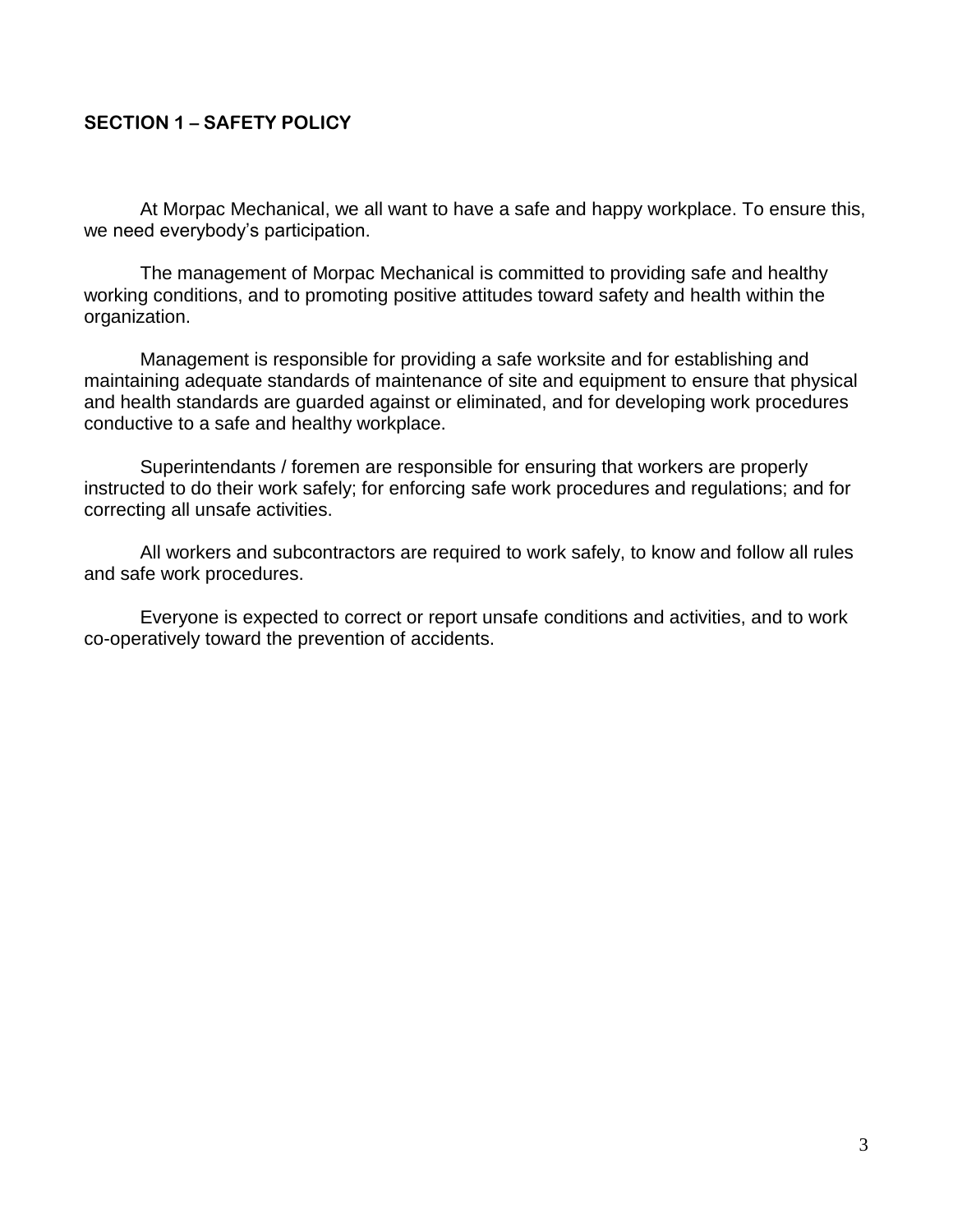### **SECTION 1 – SAFETY POLICY**

At Morpac Mechanical, we all want to have a safe and happy workplace. To ensure this, we need everybody's participation.

The management of Morpac Mechanical is committed to providing safe and healthy working conditions, and to promoting positive attitudes toward safety and health within the organization.

Management is responsible for providing a safe worksite and for establishing and maintaining adequate standards of maintenance of site and equipment to ensure that physical and health standards are guarded against or eliminated, and for developing work procedures conductive to a safe and healthy workplace.

Superintendants / foremen are responsible for ensuring that workers are properly instructed to do their work safely; for enforcing safe work procedures and regulations; and for correcting all unsafe activities.

All workers and subcontractors are required to work safely, to know and follow all rules and safe work procedures.

Everyone is expected to correct or report unsafe conditions and activities, and to work co-operatively toward the prevention of accidents.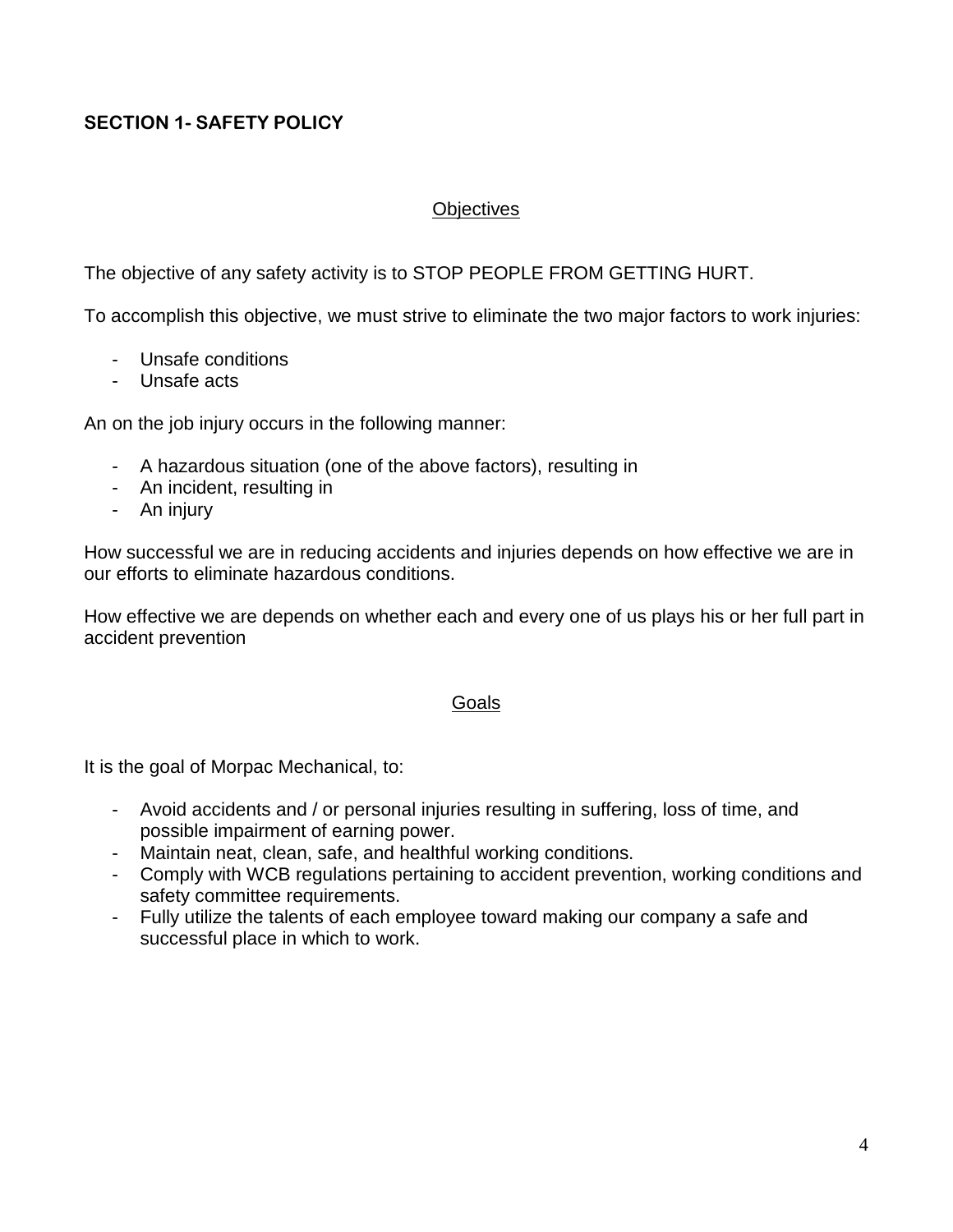# **SECTION 1- SAFETY POLICY**

#### **Objectives**

The objective of any safety activity is to STOP PEOPLE FROM GETTING HURT.

To accomplish this objective, we must strive to eliminate the two major factors to work injuries:

- Unsafe conditions
- Unsafe acts

An on the job injury occurs in the following manner:

- A hazardous situation (one of the above factors), resulting in
- An incident, resulting in
- An injury

How successful we are in reducing accidents and injuries depends on how effective we are in our efforts to eliminate hazardous conditions.

How effective we are depends on whether each and every one of us plays his or her full part in accident prevention

#### Goals

It is the goal of Morpac Mechanical, to:

- Avoid accidents and / or personal injuries resulting in suffering, loss of time, and possible impairment of earning power.
- Maintain neat, clean, safe, and healthful working conditions.
- Comply with WCB regulations pertaining to accident prevention, working conditions and safety committee requirements.
- Fully utilize the talents of each employee toward making our company a safe and successful place in which to work.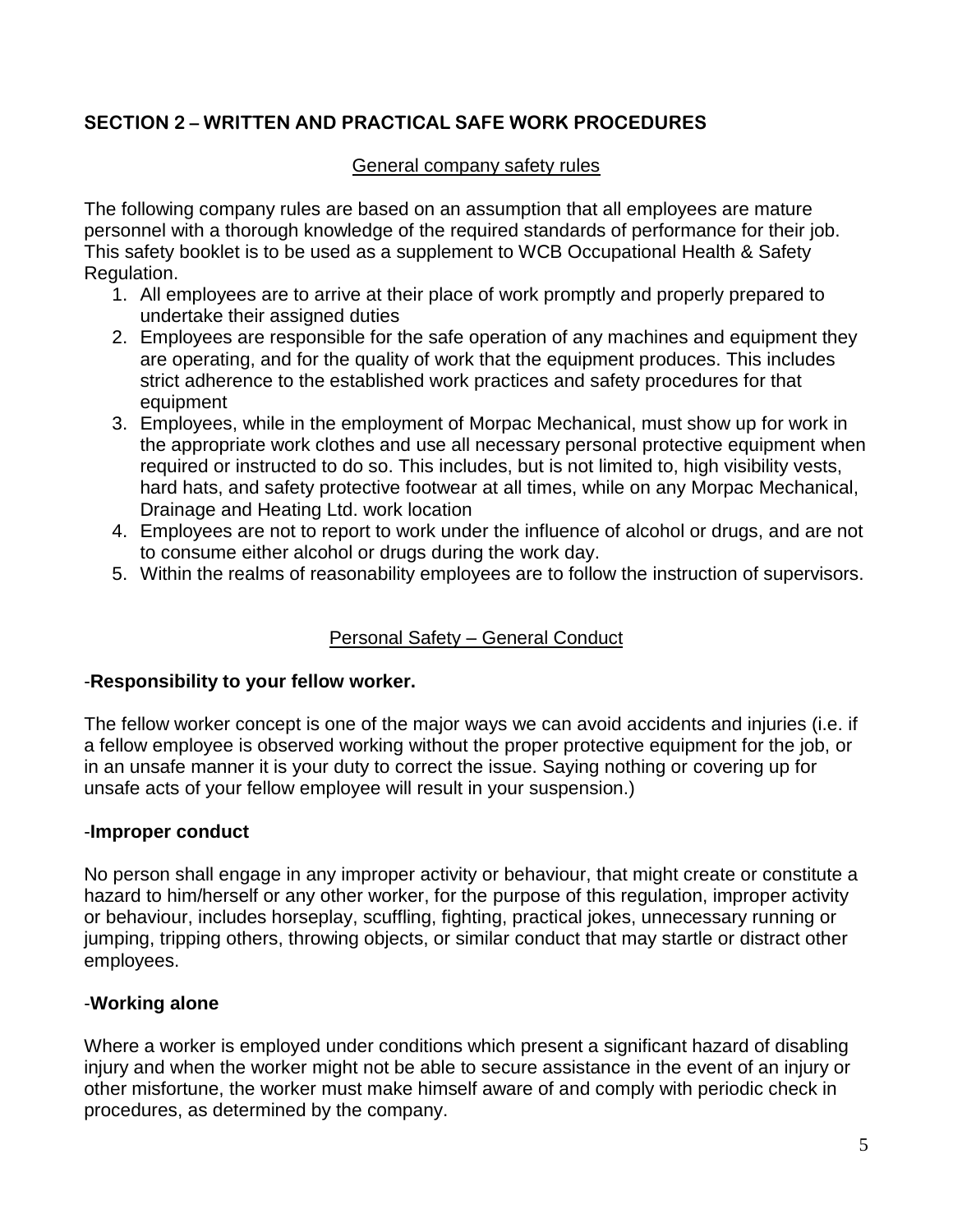#### General company safety rules

The following company rules are based on an assumption that all employees are mature personnel with a thorough knowledge of the required standards of performance for their job. This safety booklet is to be used as a supplement to WCB Occupational Health & Safety Regulation.

- 1. All employees are to arrive at their place of work promptly and properly prepared to undertake their assigned duties
- 2. Employees are responsible for the safe operation of any machines and equipment they are operating, and for the quality of work that the equipment produces. This includes strict adherence to the established work practices and safety procedures for that equipment
- 3. Employees, while in the employment of Morpac Mechanical, must show up for work in the appropriate work clothes and use all necessary personal protective equipment when required or instructed to do so. This includes, but is not limited to, high visibility vests, hard hats, and safety protective footwear at all times, while on any Morpac Mechanical, Drainage and Heating Ltd. work location
- 4. Employees are not to report to work under the influence of alcohol or drugs, and are not to consume either alcohol or drugs during the work day.
- 5. Within the realms of reasonability employees are to follow the instruction of supervisors.

## Personal Safety – General Conduct

#### -**Responsibility to your fellow worker.**

The fellow worker concept is one of the major ways we can avoid accidents and injuries (i.e. if a fellow employee is observed working without the proper protective equipment for the job, or in an unsafe manner it is your duty to correct the issue. Saying nothing or covering up for unsafe acts of your fellow employee will result in your suspension.)

#### -**Improper conduct**

No person shall engage in any improper activity or behaviour, that might create or constitute a hazard to him/herself or any other worker, for the purpose of this regulation, improper activity or behaviour, includes horseplay, scuffling, fighting, practical jokes, unnecessary running or jumping, tripping others, throwing objects, or similar conduct that may startle or distract other employees.

## -**Working alone**

Where a worker is employed under conditions which present a significant hazard of disabling injury and when the worker might not be able to secure assistance in the event of an injury or other misfortune, the worker must make himself aware of and comply with periodic check in procedures, as determined by the company.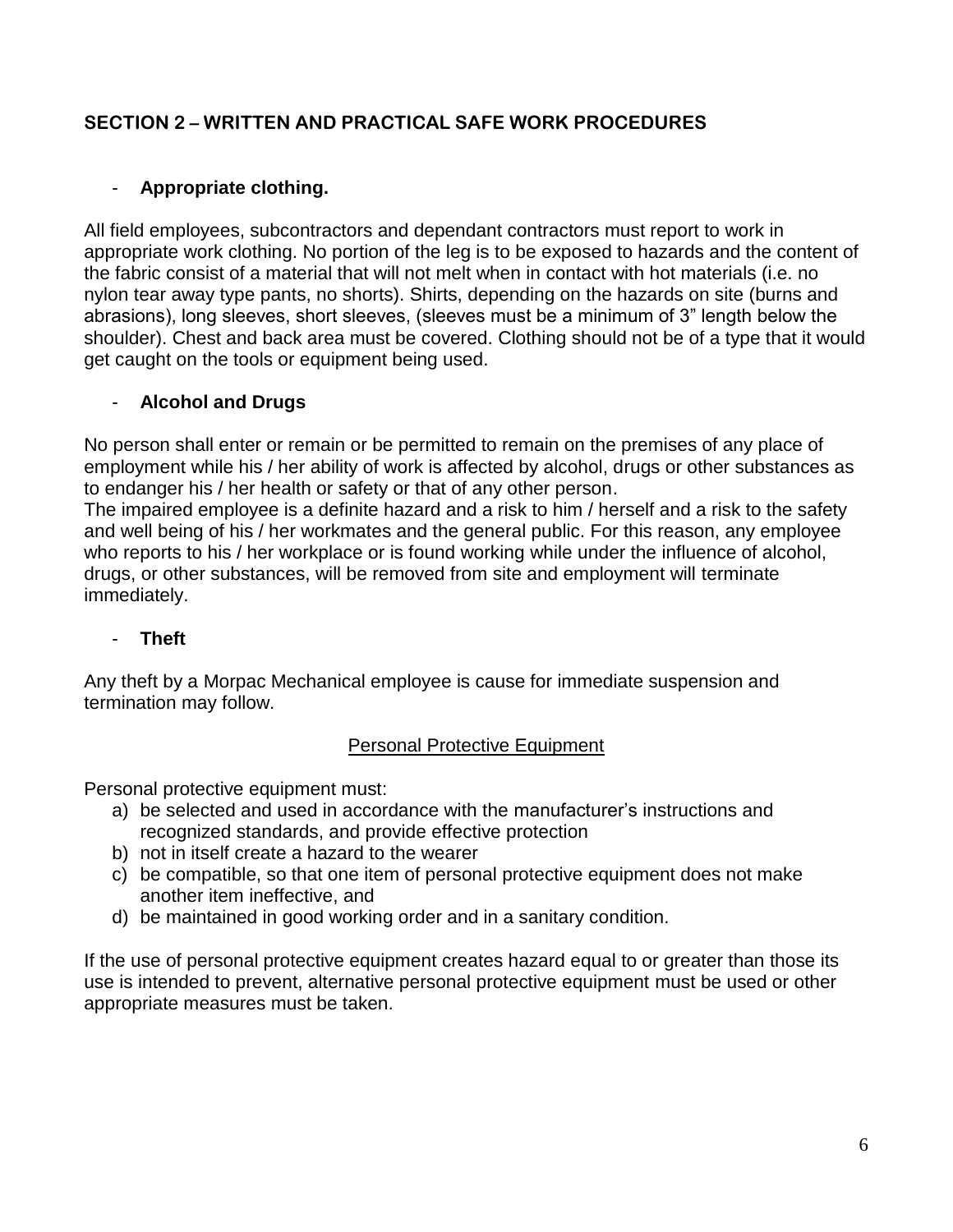# - **Appropriate clothing.**

All field employees, subcontractors and dependant contractors must report to work in appropriate work clothing. No portion of the leg is to be exposed to hazards and the content of the fabric consist of a material that will not melt when in contact with hot materials (i.e. no nylon tear away type pants, no shorts). Shirts, depending on the hazards on site (burns and abrasions), long sleeves, short sleeves, (sleeves must be a minimum of 3" length below the shoulder). Chest and back area must be covered. Clothing should not be of a type that it would get caught on the tools or equipment being used.

# - **Alcohol and Drugs**

No person shall enter or remain or be permitted to remain on the premises of any place of employment while his / her ability of work is affected by alcohol, drugs or other substances as to endanger his / her health or safety or that of any other person.

The impaired employee is a definite hazard and a risk to him / herself and a risk to the safety and well being of his / her workmates and the general public. For this reason, any employee who reports to his / her workplace or is found working while under the influence of alcohol, drugs, or other substances, will be removed from site and employment will terminate immediately.

## - **Theft**

Any theft by a Morpac Mechanical employee is cause for immediate suspension and termination may follow.

## Personal Protective Equipment

Personal protective equipment must:

- a) be selected and used in accordance with the manufacturer's instructions and recognized standards, and provide effective protection
- b) not in itself create a hazard to the wearer
- c) be compatible, so that one item of personal protective equipment does not make another item ineffective, and
- d) be maintained in good working order and in a sanitary condition.

If the use of personal protective equipment creates hazard equal to or greater than those its use is intended to prevent, alternative personal protective equipment must be used or other appropriate measures must be taken.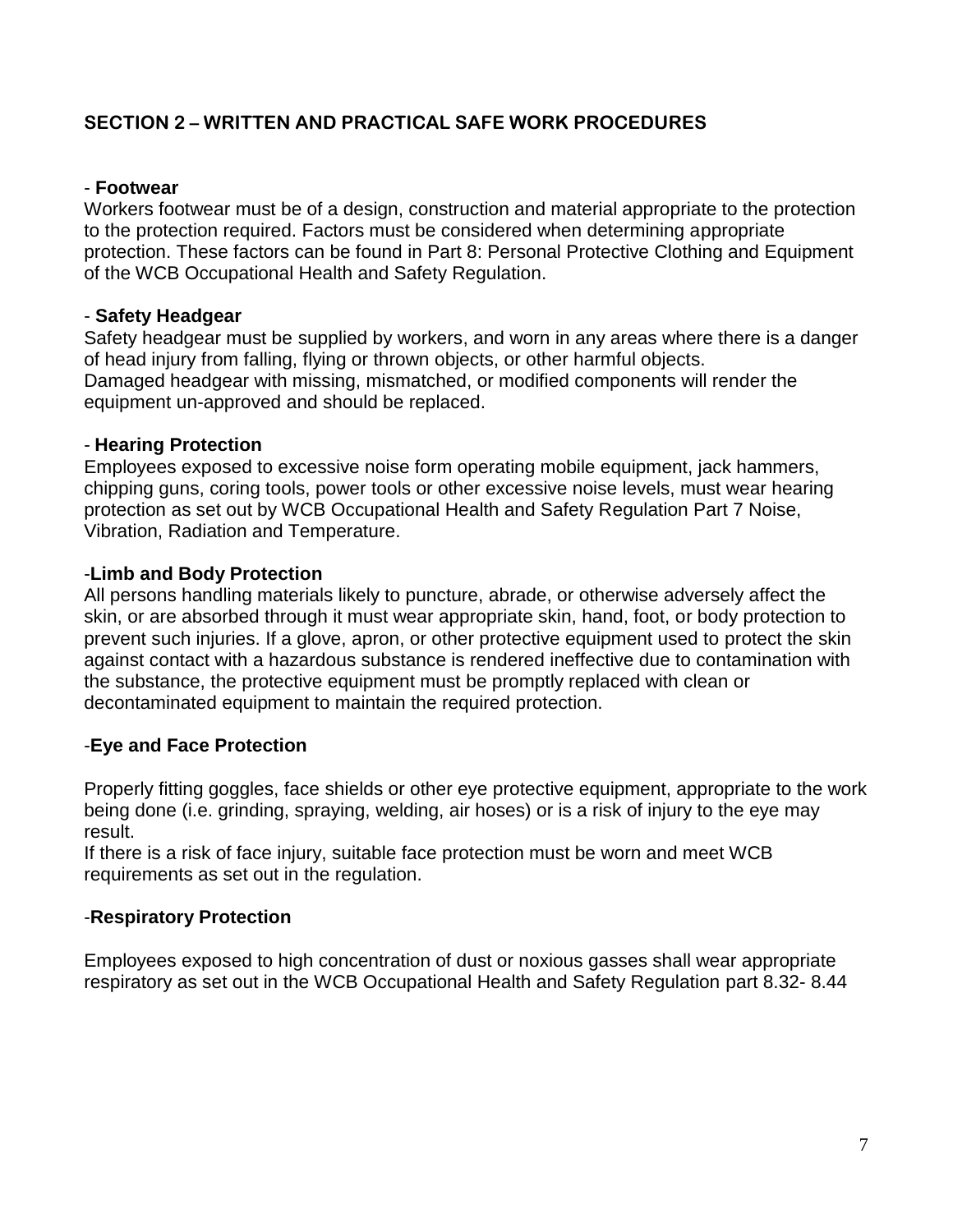#### - **Footwear**

Workers footwear must be of a design, construction and material appropriate to the protection to the protection required. Factors must be considered when determining appropriate protection. These factors can be found in Part 8: Personal Protective Clothing and Equipment of the WCB Occupational Health and Safety Regulation.

#### - **Safety Headgear**

Safety headgear must be supplied by workers, and worn in any areas where there is a danger of head injury from falling, flying or thrown objects, or other harmful objects. Damaged headgear with missing, mismatched, or modified components will render the equipment un-approved and should be replaced.

#### - **Hearing Protection**

Employees exposed to excessive noise form operating mobile equipment, jack hammers, chipping guns, coring tools, power tools or other excessive noise levels, must wear hearing protection as set out by WCB Occupational Health and Safety Regulation Part 7 Noise, Vibration, Radiation and Temperature.

#### -**Limb and Body Protection**

All persons handling materials likely to puncture, abrade, or otherwise adversely affect the skin, or are absorbed through it must wear appropriate skin, hand, foot, or body protection to prevent such injuries. If a glove, apron, or other protective equipment used to protect the skin against contact with a hazardous substance is rendered ineffective due to contamination with the substance, the protective equipment must be promptly replaced with clean or decontaminated equipment to maintain the required protection.

#### -**Eye and Face Protection**

Properly fitting goggles, face shields or other eye protective equipment, appropriate to the work being done (i.e. grinding, spraying, welding, air hoses) or is a risk of injury to the eye may result.

If there is a risk of face injury, suitable face protection must be worn and meet WCB requirements as set out in the regulation.

#### -**Respiratory Protection**

Employees exposed to high concentration of dust or noxious gasses shall wear appropriate respiratory as set out in the WCB Occupational Health and Safety Regulation part 8.32- 8.44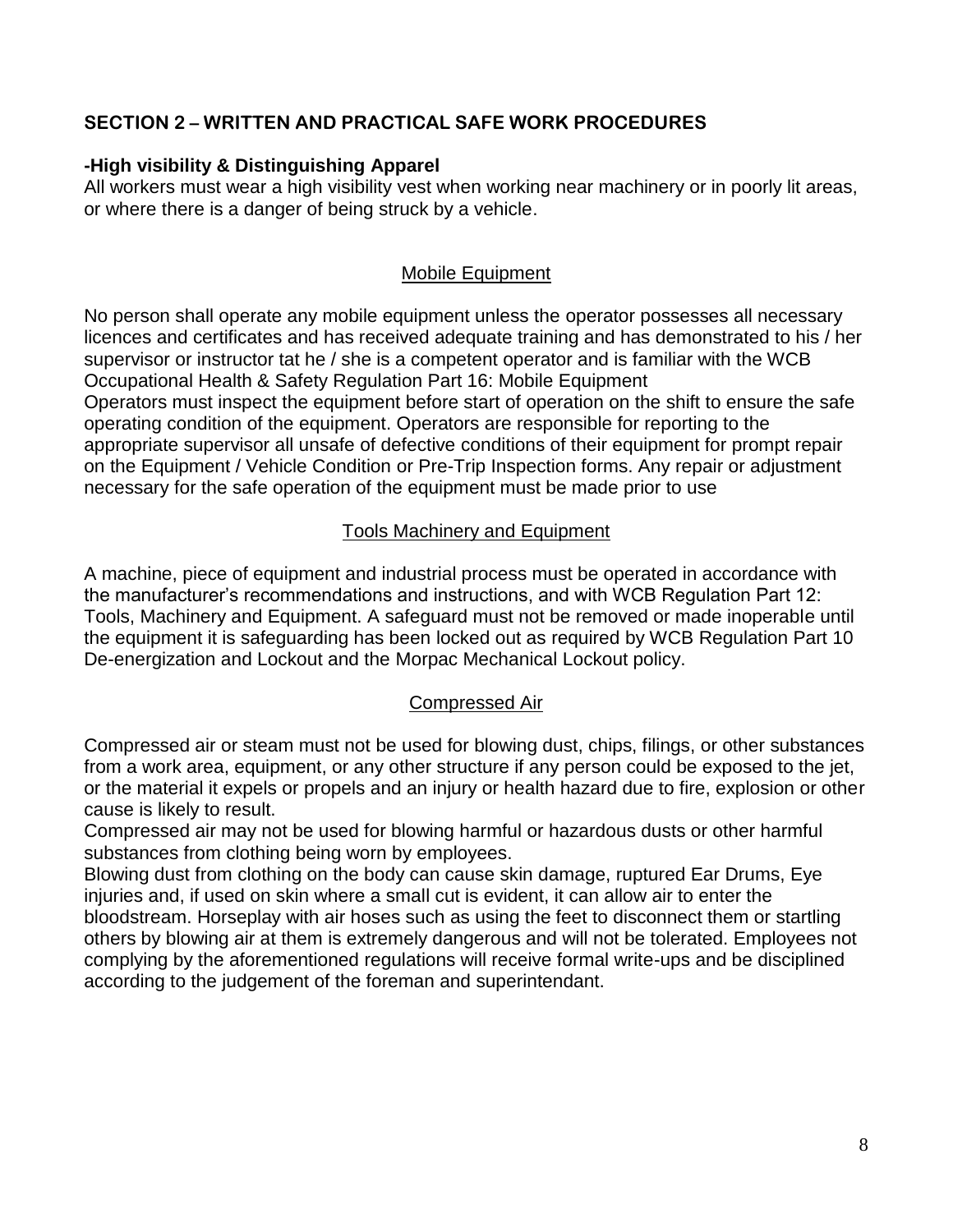### **-High visibility & Distinguishing Apparel**

All workers must wear a high visibility vest when working near machinery or in poorly lit areas, or where there is a danger of being struck by a vehicle.

### Mobile Equipment

No person shall operate any mobile equipment unless the operator possesses all necessary licences and certificates and has received adequate training and has demonstrated to his / her supervisor or instructor tat he / she is a competent operator and is familiar with the WCB Occupational Health & Safety Regulation Part 16: Mobile Equipment Operators must inspect the equipment before start of operation on the shift to ensure the safe operating condition of the equipment. Operators are responsible for reporting to the appropriate supervisor all unsafe of defective conditions of their equipment for prompt repair on the Equipment / Vehicle Condition or Pre-Trip Inspection forms. Any repair or adjustment necessary for the safe operation of the equipment must be made prior to use

## Tools Machinery and Equipment

A machine, piece of equipment and industrial process must be operated in accordance with the manufacturer's recommendations and instructions, and with WCB Regulation Part 12: Tools, Machinery and Equipment. A safeguard must not be removed or made inoperable until the equipment it is safeguarding has been locked out as required by WCB Regulation Part 10 De-energization and Lockout and the Morpac Mechanical Lockout policy.

#### Compressed Air

Compressed air or steam must not be used for blowing dust, chips, filings, or other substances from a work area, equipment, or any other structure if any person could be exposed to the jet, or the material it expels or propels and an injury or health hazard due to fire, explosion or other cause is likely to result.

Compressed air may not be used for blowing harmful or hazardous dusts or other harmful substances from clothing being worn by employees.

Blowing dust from clothing on the body can cause skin damage, ruptured Ear Drums, Eye injuries and, if used on skin where a small cut is evident, it can allow air to enter the bloodstream. Horseplay with air hoses such as using the feet to disconnect them or startling others by blowing air at them is extremely dangerous and will not be tolerated. Employees not complying by the aforementioned regulations will receive formal write-ups and be disciplined according to the judgement of the foreman and superintendant.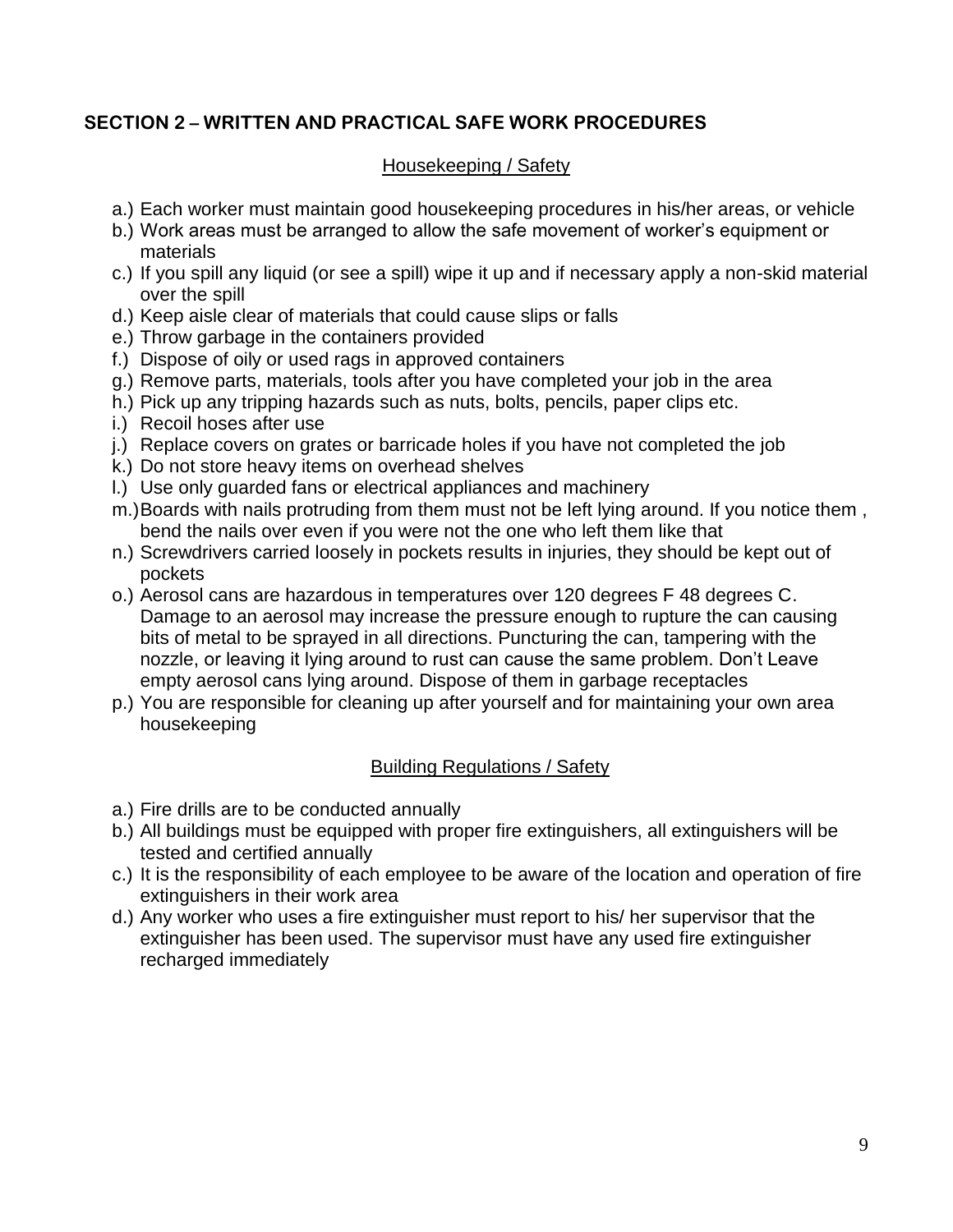### Housekeeping / Safety

- a.) Each worker must maintain good housekeeping procedures in his/her areas, or vehicle
- b.) Work areas must be arranged to allow the safe movement of worker's equipment or materials
- c.) If you spill any liquid (or see a spill) wipe it up and if necessary apply a non-skid material over the spill
- d.) Keep aisle clear of materials that could cause slips or falls
- e.) Throw garbage in the containers provided
- f.) Dispose of oily or used rags in approved containers
- g.) Remove parts, materials, tools after you have completed your job in the area
- h.) Pick up any tripping hazards such as nuts, bolts, pencils, paper clips etc.
- i.) Recoil hoses after use
- j.) Replace covers on grates or barricade holes if you have not completed the job
- k.) Do not store heavy items on overhead shelves
- l.) Use only guarded fans or electrical appliances and machinery
- m.)Boards with nails protruding from them must not be left lying around. If you notice them , bend the nails over even if you were not the one who left them like that
- n.) Screwdrivers carried loosely in pockets results in injuries, they should be kept out of pockets
- o.) Aerosol cans are hazardous in temperatures over 120 degrees F 48 degrees C. Damage to an aerosol may increase the pressure enough to rupture the can causing bits of metal to be sprayed in all directions. Puncturing the can, tampering with the nozzle, or leaving it lying around to rust can cause the same problem. Don't Leave empty aerosol cans lying around. Dispose of them in garbage receptacles
- p.) You are responsible for cleaning up after yourself and for maintaining your own area housekeeping

## Building Regulations / Safety

- a.) Fire drills are to be conducted annually
- b.) All buildings must be equipped with proper fire extinguishers, all extinguishers will be tested and certified annually
- c.) It is the responsibility of each employee to be aware of the location and operation of fire extinguishers in their work area
- d.) Any worker who uses a fire extinguisher must report to his/ her supervisor that the extinguisher has been used. The supervisor must have any used fire extinguisher recharged immediately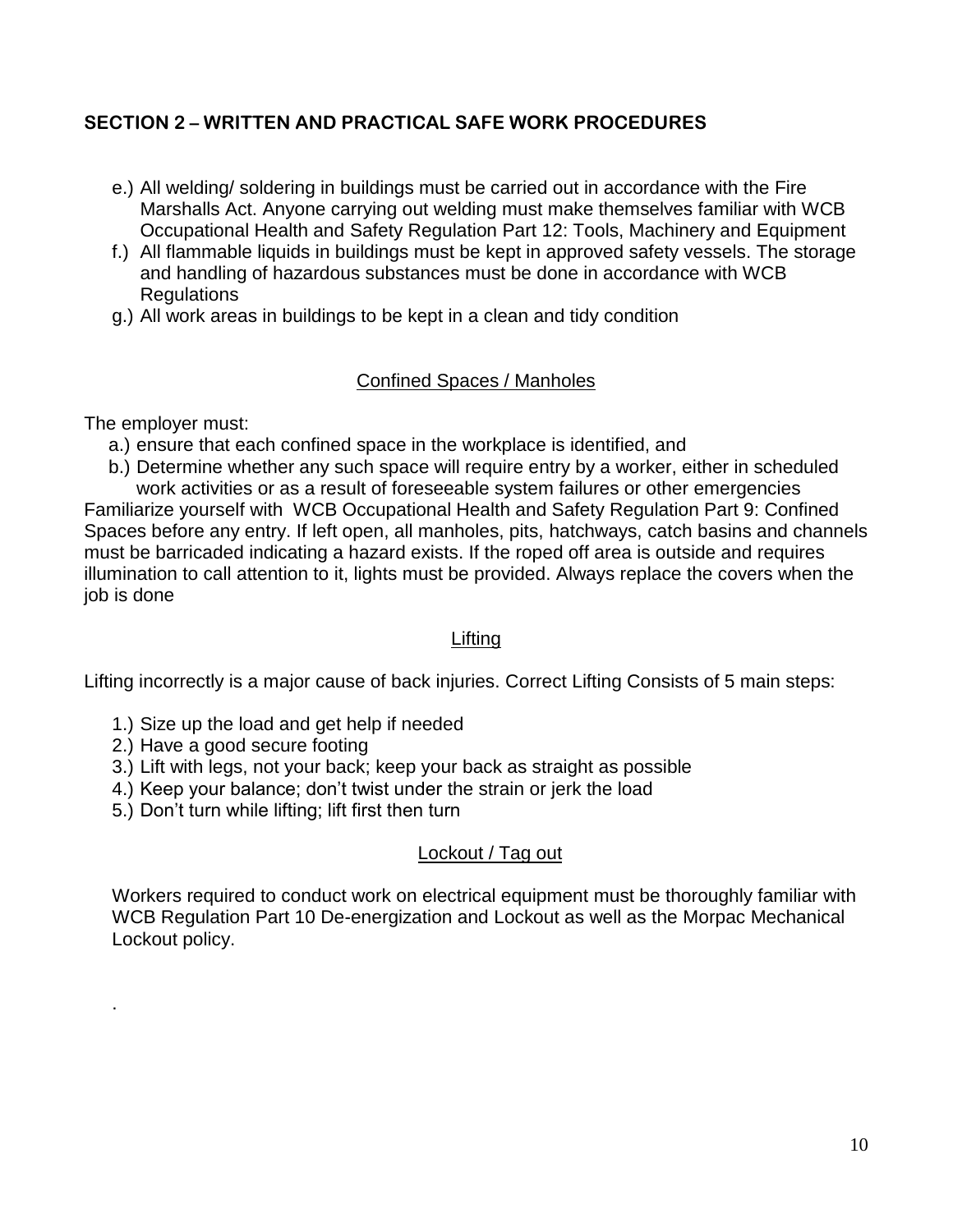- e.) All welding/ soldering in buildings must be carried out in accordance with the Fire Marshalls Act. Anyone carrying out welding must make themselves familiar with WCB Occupational Health and Safety Regulation Part 12: Tools, Machinery and Equipment
- f.) All flammable liquids in buildings must be kept in approved safety vessels. The storage and handling of hazardous substances must be done in accordance with WCB **Regulations**
- g.) All work areas in buildings to be kept in a clean and tidy condition

### Confined Spaces / Manholes

The employer must:

.

- a.) ensure that each confined space in the workplace is identified, and
- b.) Determine whether any such space will require entry by a worker, either in scheduled

work activities or as a result of foreseeable system failures or other emergencies Familiarize yourself with WCB Occupational Health and Safety Regulation Part 9: Confined Spaces before any entry. If left open, all manholes, pits, hatchways, catch basins and channels must be barricaded indicating a hazard exists. If the roped off area is outside and requires illumination to call attention to it, lights must be provided. Always replace the covers when the job is done

#### Lifting

Lifting incorrectly is a major cause of back injuries. Correct Lifting Consists of 5 main steps:

- 1.) Size up the load and get help if needed
- 2.) Have a good secure footing
- 3.) Lift with legs, not your back; keep your back as straight as possible
- 4.) Keep your balance; don't twist under the strain or jerk the load
- 5.) Don't turn while lifting; lift first then turn

## Lockout / Tag out

Workers required to conduct work on electrical equipment must be thoroughly familiar with WCB Regulation Part 10 De-energization and Lockout as well as the Morpac Mechanical Lockout policy.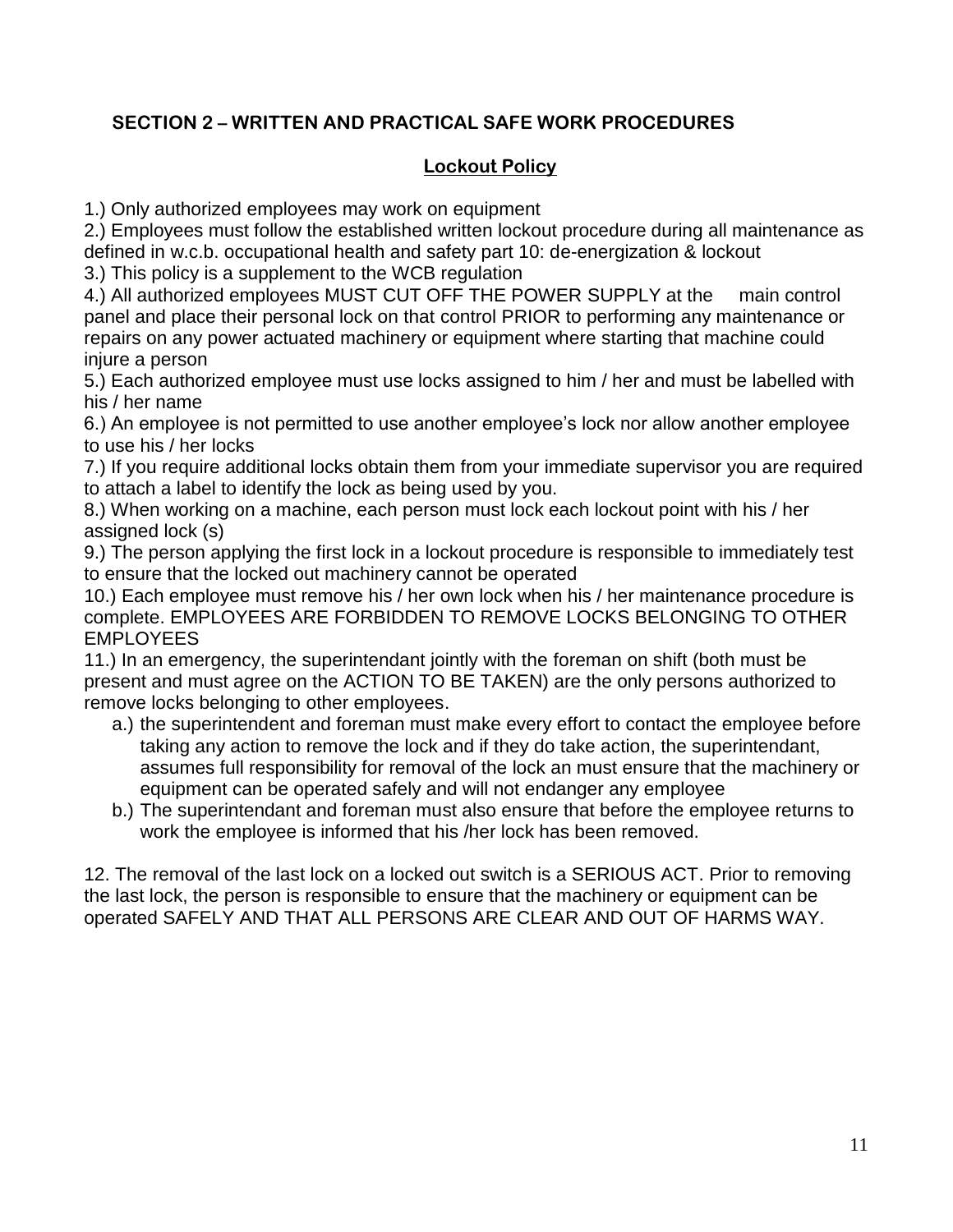# **Lockout Policy**

1.) Only authorized employees may work on equipment

2.) Employees must follow the established written lockout procedure during all maintenance as defined in w.c.b. occupational health and safety part 10: de-energization & lockout

3.) This policy is a supplement to the WCB regulation

4.) All authorized employees MUST CUT OFF THE POWER SUPPLY at the main control panel and place their personal lock on that control PRIOR to performing any maintenance or repairs on any power actuated machinery or equipment where starting that machine could injure a person

5.) Each authorized employee must use locks assigned to him / her and must be labelled with his / her name

6.) An employee is not permitted to use another employee's lock nor allow another employee to use his / her locks

7.) If you require additional locks obtain them from your immediate supervisor you are required to attach a label to identify the lock as being used by you.

8.) When working on a machine, each person must lock each lockout point with his / her assigned lock (s)

9.) The person applying the first lock in a lockout procedure is responsible to immediately test to ensure that the locked out machinery cannot be operated

10.) Each employee must remove his / her own lock when his / her maintenance procedure is complete. EMPLOYEES ARE FORBIDDEN TO REMOVE LOCKS BELONGING TO OTHER EMPLOYEES

11.) In an emergency, the superintendant jointly with the foreman on shift (both must be present and must agree on the ACTION TO BE TAKEN) are the only persons authorized to remove locks belonging to other employees.

- a.) the superintendent and foreman must make every effort to contact the employee before taking any action to remove the lock and if they do take action, the superintendant, assumes full responsibility for removal of the lock an must ensure that the machinery or equipment can be operated safely and will not endanger any employee
- b.) The superintendant and foreman must also ensure that before the employee returns to work the employee is informed that his /her lock has been removed.

12. The removal of the last lock on a locked out switch is a SERIOUS ACT. Prior to removing the last lock, the person is responsible to ensure that the machinery or equipment can be operated SAFELY AND THAT ALL PERSONS ARE CLEAR AND OUT OF HARMS WAY.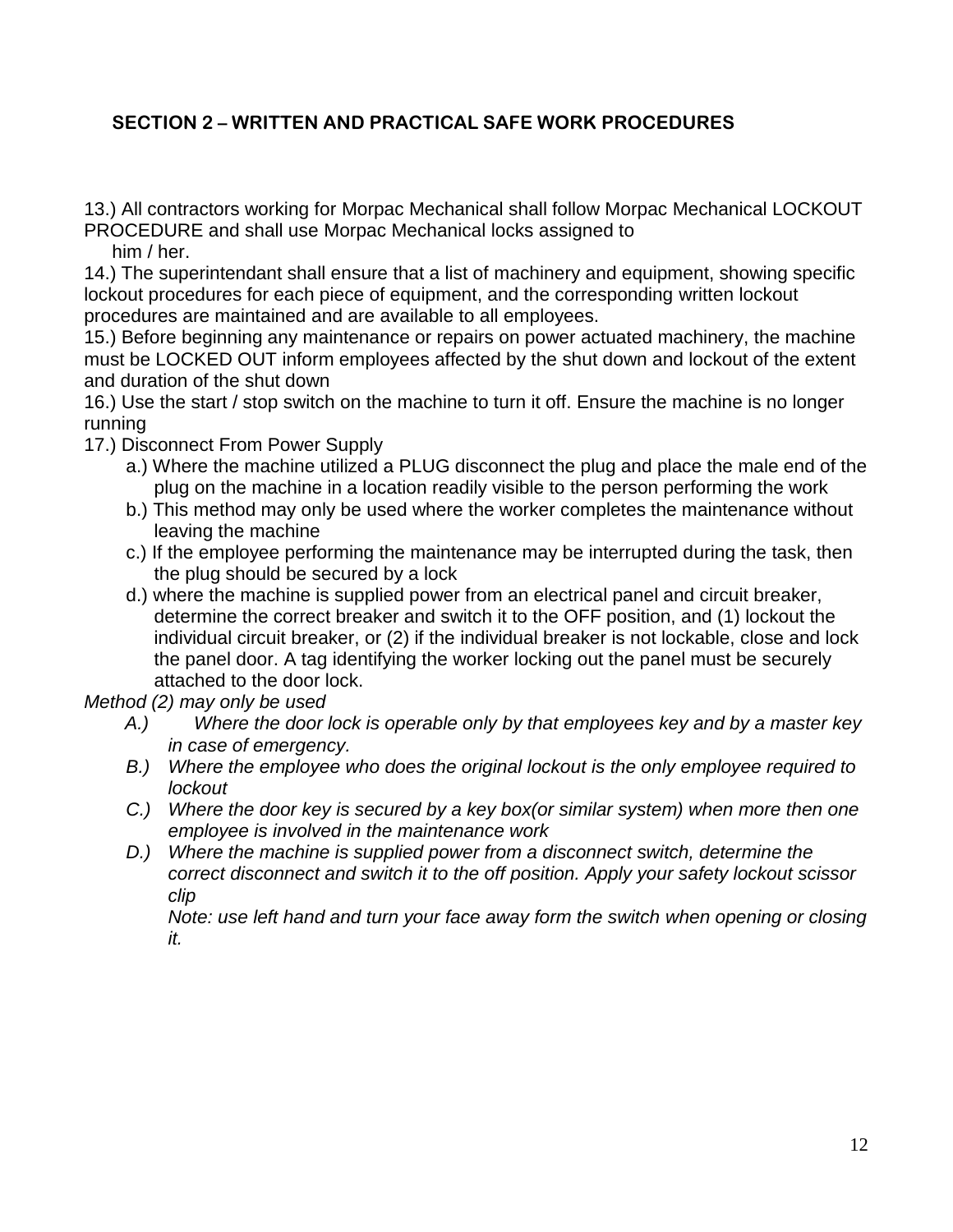13.) All contractors working for Morpac Mechanical shall follow Morpac Mechanical LOCKOUT PROCEDURE and shall use Morpac Mechanical locks assigned to

him / her.

14.) The superintendant shall ensure that a list of machinery and equipment, showing specific lockout procedures for each piece of equipment, and the corresponding written lockout procedures are maintained and are available to all employees.

15.) Before beginning any maintenance or repairs on power actuated machinery, the machine must be LOCKED OUT inform employees affected by the shut down and lockout of the extent and duration of the shut down

16.) Use the start / stop switch on the machine to turn it off. Ensure the machine is no longer running

17.) Disconnect From Power Supply

- a.) Where the machine utilized a PLUG disconnect the plug and place the male end of the plug on the machine in a location readily visible to the person performing the work
- b.) This method may only be used where the worker completes the maintenance without leaving the machine
- c.) If the employee performing the maintenance may be interrupted during the task, then the plug should be secured by a lock
- d.) where the machine is supplied power from an electrical panel and circuit breaker, determine the correct breaker and switch it to the OFF position, and (1) lockout the individual circuit breaker, or (2) if the individual breaker is not lockable, close and lock the panel door. A tag identifying the worker locking out the panel must be securely attached to the door lock.

*Method (2) may only be used* 

- *A.) Where the door lock is operable only by that employees key and by a master key in case of emergency.*
- *B.) Where the employee who does the original lockout is the only employee required to lockout*
- *C.) Where the door key is secured by a key box(or similar system) when more then one employee is involved in the maintenance work*
- *D.) Where the machine is supplied power from a disconnect switch, determine the correct disconnect and switch it to the off position. Apply your safety lockout scissor clip*

*Note: use left hand and turn your face away form the switch when opening or closing it.*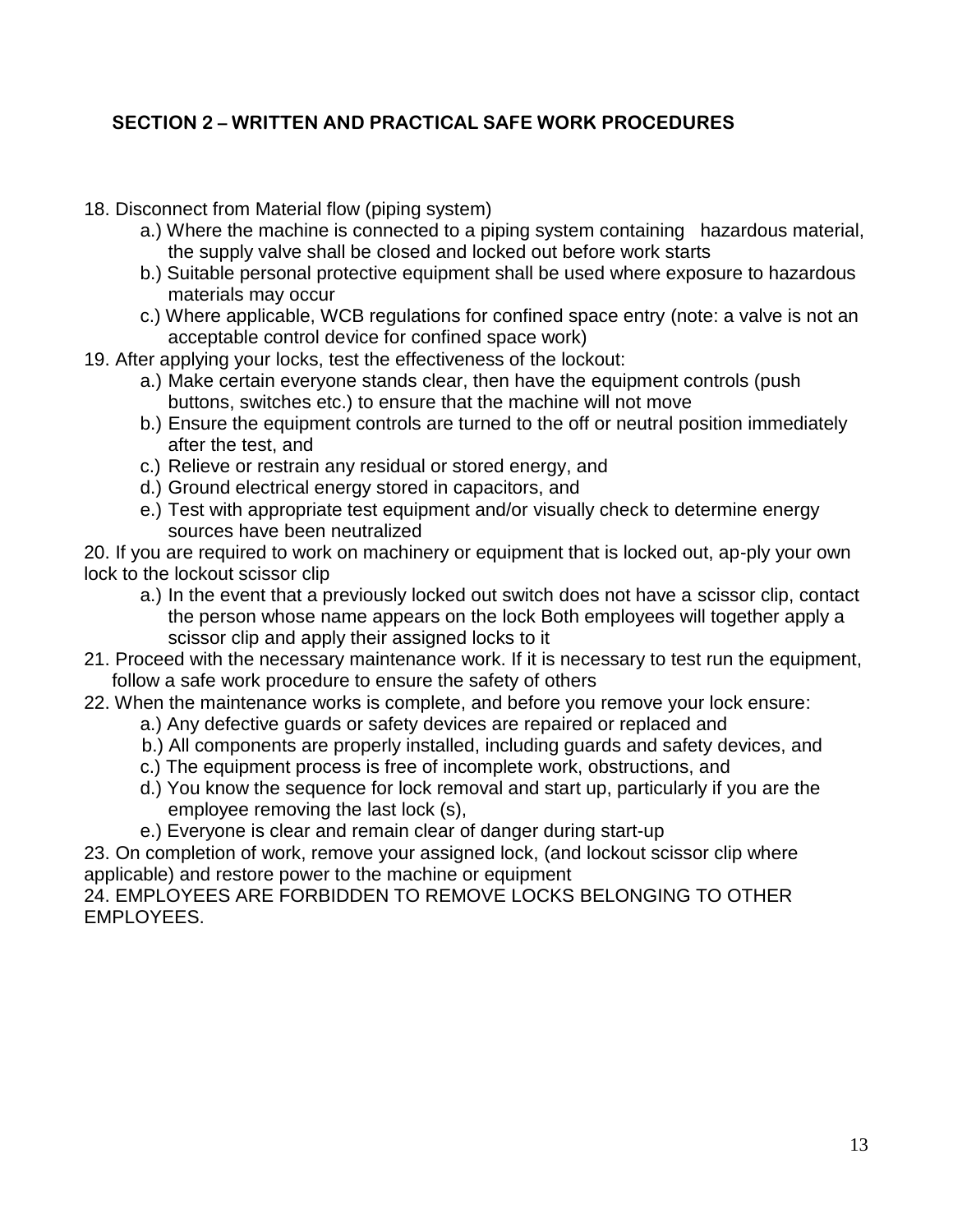- 18. Disconnect from Material flow (piping system)
	- a.) Where the machine is connected to a piping system containing hazardous material, the supply valve shall be closed and locked out before work starts
	- b.) Suitable personal protective equipment shall be used where exposure to hazardous materials may occur
	- c.) Where applicable, WCB regulations for confined space entry (note: a valve is not an acceptable control device for confined space work)
- 19. After applying your locks, test the effectiveness of the lockout:
	- a.) Make certain everyone stands clear, then have the equipment controls (push buttons, switches etc.) to ensure that the machine will not move
	- b.) Ensure the equipment controls are turned to the off or neutral position immediately after the test, and
	- c.) Relieve or restrain any residual or stored energy, and
	- d.) Ground electrical energy stored in capacitors, and
	- e.) Test with appropriate test equipment and/or visually check to determine energy sources have been neutralized

20. If you are required to work on machinery or equipment that is locked out, ap-ply your own lock to the lockout scissor clip

- a.) In the event that a previously locked out switch does not have a scissor clip, contact the person whose name appears on the lock Both employees will together apply a scissor clip and apply their assigned locks to it
- 21. Proceed with the necessary maintenance work. If it is necessary to test run the equipment, follow a safe work procedure to ensure the safety of others
- 22. When the maintenance works is complete, and before you remove your lock ensure:
	- a.) Any defective guards or safety devices are repaired or replaced and
	- b.) All components are properly installed, including guards and safety devices, and
	- c.) The equipment process is free of incomplete work, obstructions, and
	- d.) You know the sequence for lock removal and start up, particularly if you are the employee removing the last lock (s),
	- e.) Everyone is clear and remain clear of danger during start-up

23. On completion of work, remove your assigned lock, (and lockout scissor clip where applicable) and restore power to the machine or equipment

24. EMPLOYEES ARE FORBIDDEN TO REMOVE LOCKS BELONGING TO OTHER EMPLOYEES.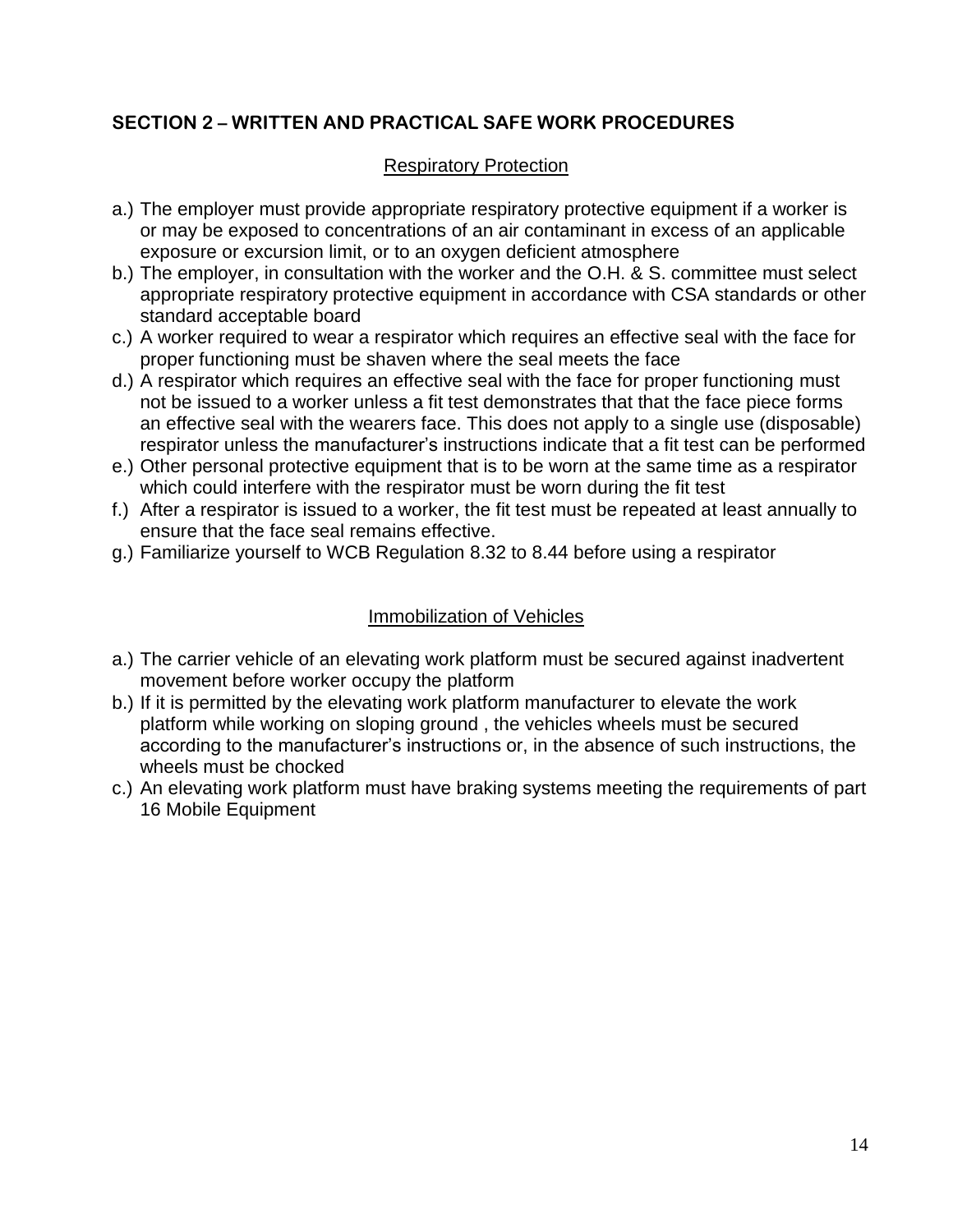### Respiratory Protection

- a.) The employer must provide appropriate respiratory protective equipment if a worker is or may be exposed to concentrations of an air contaminant in excess of an applicable exposure or excursion limit, or to an oxygen deficient atmosphere
- b.) The employer, in consultation with the worker and the O.H. & S. committee must select appropriate respiratory protective equipment in accordance with CSA standards or other standard acceptable board
- c.) A worker required to wear a respirator which requires an effective seal with the face for proper functioning must be shaven where the seal meets the face
- d.) A respirator which requires an effective seal with the face for proper functioning must not be issued to a worker unless a fit test demonstrates that that the face piece forms an effective seal with the wearers face. This does not apply to a single use (disposable) respirator unless the manufacturer's instructions indicate that a fit test can be performed
- e.) Other personal protective equipment that is to be worn at the same time as a respirator which could interfere with the respirator must be worn during the fit test
- f.) After a respirator is issued to a worker, the fit test must be repeated at least annually to ensure that the face seal remains effective.
- g.) Familiarize yourself to WCB Regulation 8.32 to 8.44 before using a respirator

#### Immobilization of Vehicles

- a.) The carrier vehicle of an elevating work platform must be secured against inadvertent movement before worker occupy the platform
- b.) If it is permitted by the elevating work platform manufacturer to elevate the work platform while working on sloping ground , the vehicles wheels must be secured according to the manufacturer's instructions or, in the absence of such instructions, the wheels must be chocked
- c.) An elevating work platform must have braking systems meeting the requirements of part 16 Mobile Equipment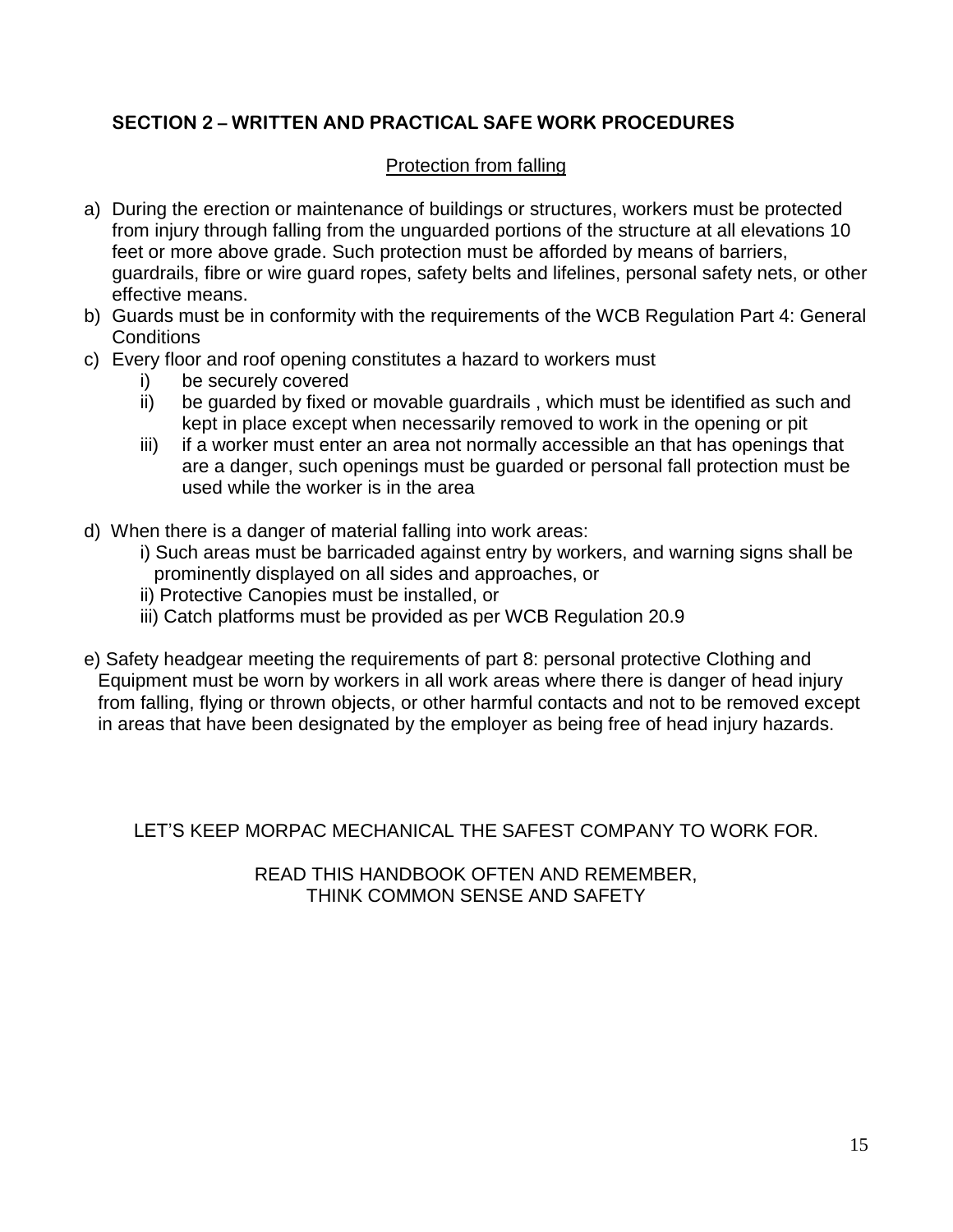### Protection from falling

- a) During the erection or maintenance of buildings or structures, workers must be protected from injury through falling from the unguarded portions of the structure at all elevations 10 feet or more above grade. Such protection must be afforded by means of barriers, guardrails, fibre or wire guard ropes, safety belts and lifelines, personal safety nets, or other effective means.
- b) Guards must be in conformity with the requirements of the WCB Regulation Part 4: General **Conditions**
- c) Every floor and roof opening constitutes a hazard to workers must
	- i) be securely covered
	- ii) be guarded by fixed or movable guardrails , which must be identified as such and kept in place except when necessarily removed to work in the opening or pit
	- iii) if a worker must enter an area not normally accessible an that has openings that are a danger, such openings must be guarded or personal fall protection must be used while the worker is in the area
- d) When there is a danger of material falling into work areas:
	- i) Such areas must be barricaded against entry by workers, and warning signs shall be prominently displayed on all sides and approaches, or
	- ii) Protective Canopies must be installed, or
	- iii) Catch platforms must be provided as per WCB Regulation 20.9
- e) Safety headgear meeting the requirements of part 8: personal protective Clothing and Equipment must be worn by workers in all work areas where there is danger of head injury from falling, flying or thrown objects, or other harmful contacts and not to be removed except in areas that have been designated by the employer as being free of head injury hazards.

LET'S KEEP MORPAC MECHANICAL THE SAFEST COMPANY TO WORK FOR.

READ THIS HANDBOOK OFTEN AND REMEMBER, THINK COMMON SENSE AND SAFETY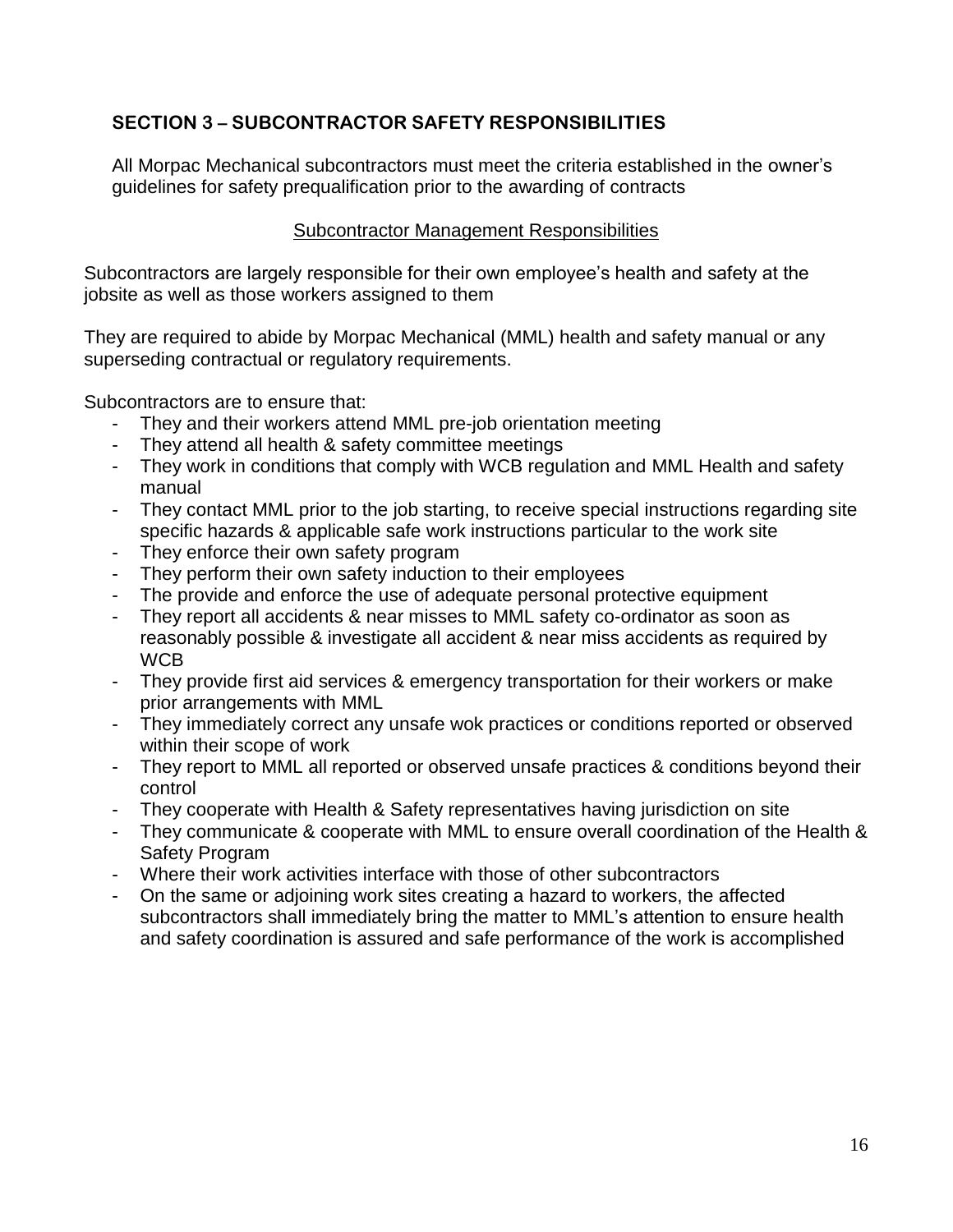# **SECTION 3 – SUBCONTRACTOR SAFETY RESPONSIBILITIES**

All Morpac Mechanical subcontractors must meet the criteria established in the owner's guidelines for safety prequalification prior to the awarding of contracts

### Subcontractor Management Responsibilities

Subcontractors are largely responsible for their own employee's health and safety at the jobsite as well as those workers assigned to them

They are required to abide by Morpac Mechanical (MML) health and safety manual or any superseding contractual or regulatory requirements.

Subcontractors are to ensure that:

- They and their workers attend MML pre-job orientation meeting
- They attend all health & safety committee meetings
- They work in conditions that comply with WCB regulation and MML Health and safety manual
- They contact MML prior to the job starting, to receive special instructions regarding site specific hazards & applicable safe work instructions particular to the work site
- They enforce their own safety program
- They perform their own safety induction to their employees
- The provide and enforce the use of adequate personal protective equipment
- They report all accidents & near misses to MML safety co-ordinator as soon as reasonably possible & investigate all accident & near miss accidents as required by WCB
- They provide first aid services & emergency transportation for their workers or make prior arrangements with MML
- They immediately correct any unsafe wok practices or conditions reported or observed within their scope of work
- They report to MML all reported or observed unsafe practices & conditions beyond their control
- They cooperate with Health & Safety representatives having jurisdiction on site
- They communicate & cooperate with MML to ensure overall coordination of the Health & Safety Program
- Where their work activities interface with those of other subcontractors
- On the same or adjoining work sites creating a hazard to workers, the affected subcontractors shall immediately bring the matter to MML's attention to ensure health and safety coordination is assured and safe performance of the work is accomplished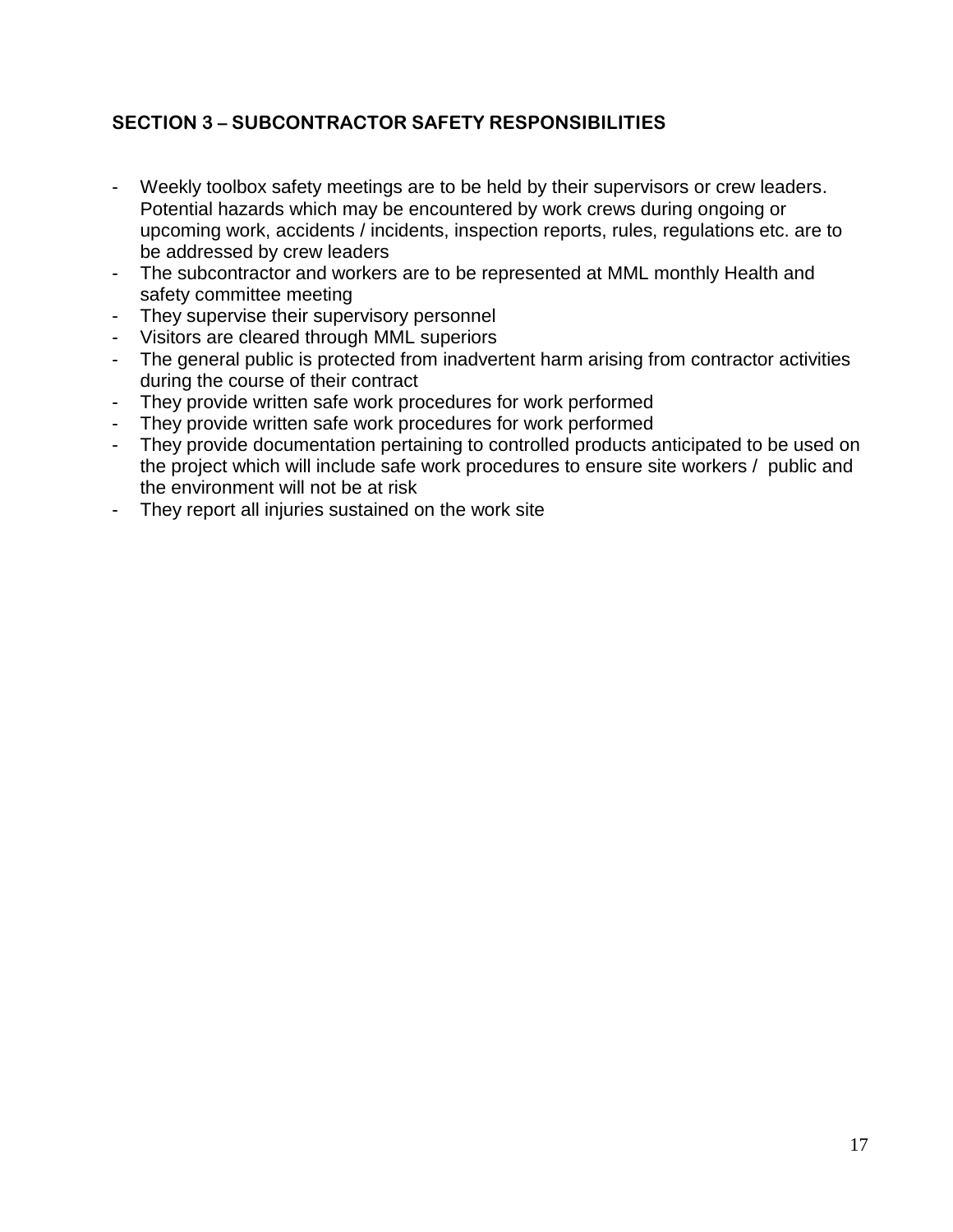# **SECTION 3 – SUBCONTRACTOR SAFETY RESPONSIBILITIES**

- Weekly toolbox safety meetings are to be held by their supervisors or crew leaders. Potential hazards which may be encountered by work crews during ongoing or upcoming work, accidents / incidents, inspection reports, rules, regulations etc. are to be addressed by crew leaders
- The subcontractor and workers are to be represented at MML monthly Health and safety committee meeting
- They supervise their supervisory personnel
- Visitors are cleared through MML superiors
- The general public is protected from inadvertent harm arising from contractor activities during the course of their contract
- They provide written safe work procedures for work performed
- They provide written safe work procedures for work performed
- They provide documentation pertaining to controlled products anticipated to be used on the project which will include safe work procedures to ensure site workers / public and the environment will not be at risk
- They report all injuries sustained on the work site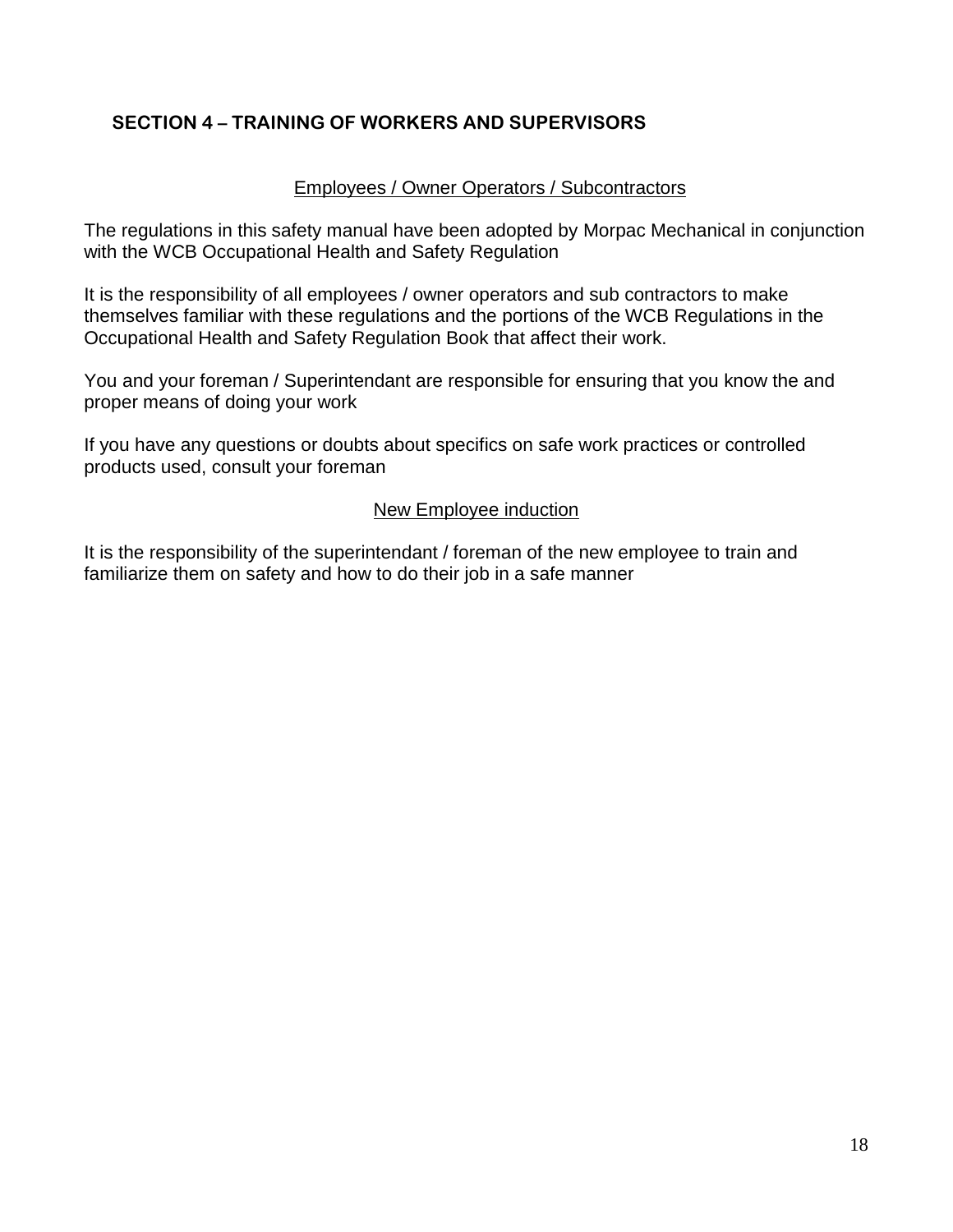# **SECTION 4 – TRAINING OF WORKERS AND SUPERVISORS**

### Employees / Owner Operators / Subcontractors

The regulations in this safety manual have been adopted by Morpac Mechanical in conjunction with the WCB Occupational Health and Safety Regulation

It is the responsibility of all employees / owner operators and sub contractors to make themselves familiar with these regulations and the portions of the WCB Regulations in the Occupational Health and Safety Regulation Book that affect their work.

You and your foreman / Superintendant are responsible for ensuring that you know the and proper means of doing your work

If you have any questions or doubts about specifics on safe work practices or controlled products used, consult your foreman

#### New Employee induction

It is the responsibility of the superintendant / foreman of the new employee to train and familiarize them on safety and how to do their job in a safe manner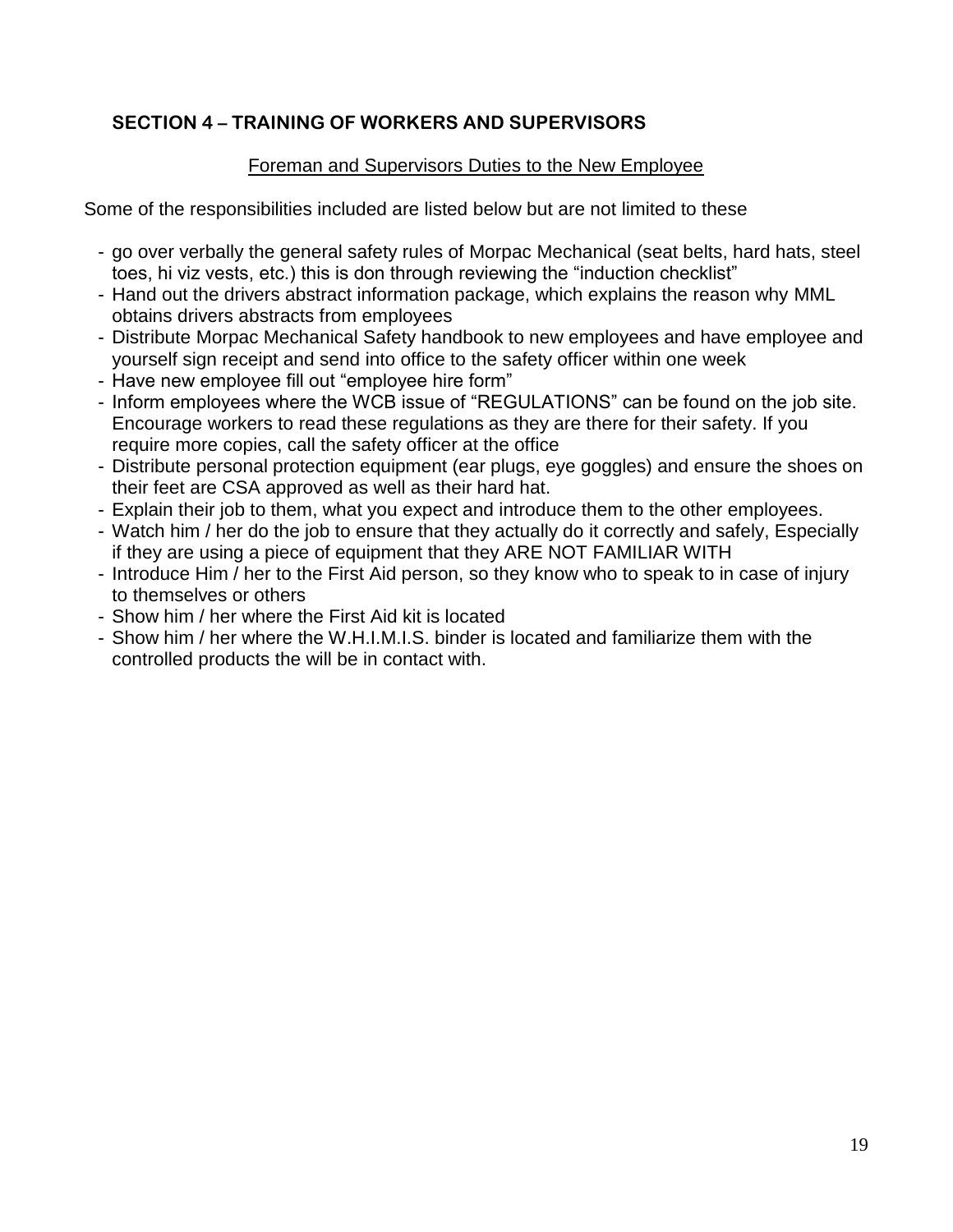# **SECTION 4 – TRAINING OF WORKERS AND SUPERVISORS**

# Foreman and Supervisors Duties to the New Employee

Some of the responsibilities included are listed below but are not limited to these

- go over verbally the general safety rules of Morpac Mechanical (seat belts, hard hats, steel toes, hi viz vests, etc.) this is don through reviewing the "induction checklist"
- Hand out the drivers abstract information package, which explains the reason why MML obtains drivers abstracts from employees
- Distribute Morpac Mechanical Safety handbook to new employees and have employee and yourself sign receipt and send into office to the safety officer within one week
- Have new employee fill out "employee hire form"
- Inform employees where the WCB issue of "REGULATIONS" can be found on the job site. Encourage workers to read these regulations as they are there for their safety. If you require more copies, call the safety officer at the office
- Distribute personal protection equipment (ear plugs, eye goggles) and ensure the shoes on their feet are CSA approved as well as their hard hat.
- Explain their job to them, what you expect and introduce them to the other employees.
- Watch him / her do the job to ensure that they actually do it correctly and safely, Especially if they are using a piece of equipment that they ARE NOT FAMILIAR WITH
- Introduce Him / her to the First Aid person, so they know who to speak to in case of injury to themselves or others
- Show him / her where the First Aid kit is located
- Show him / her where the W.H.I.M.I.S. binder is located and familiarize them with the controlled products the will be in contact with.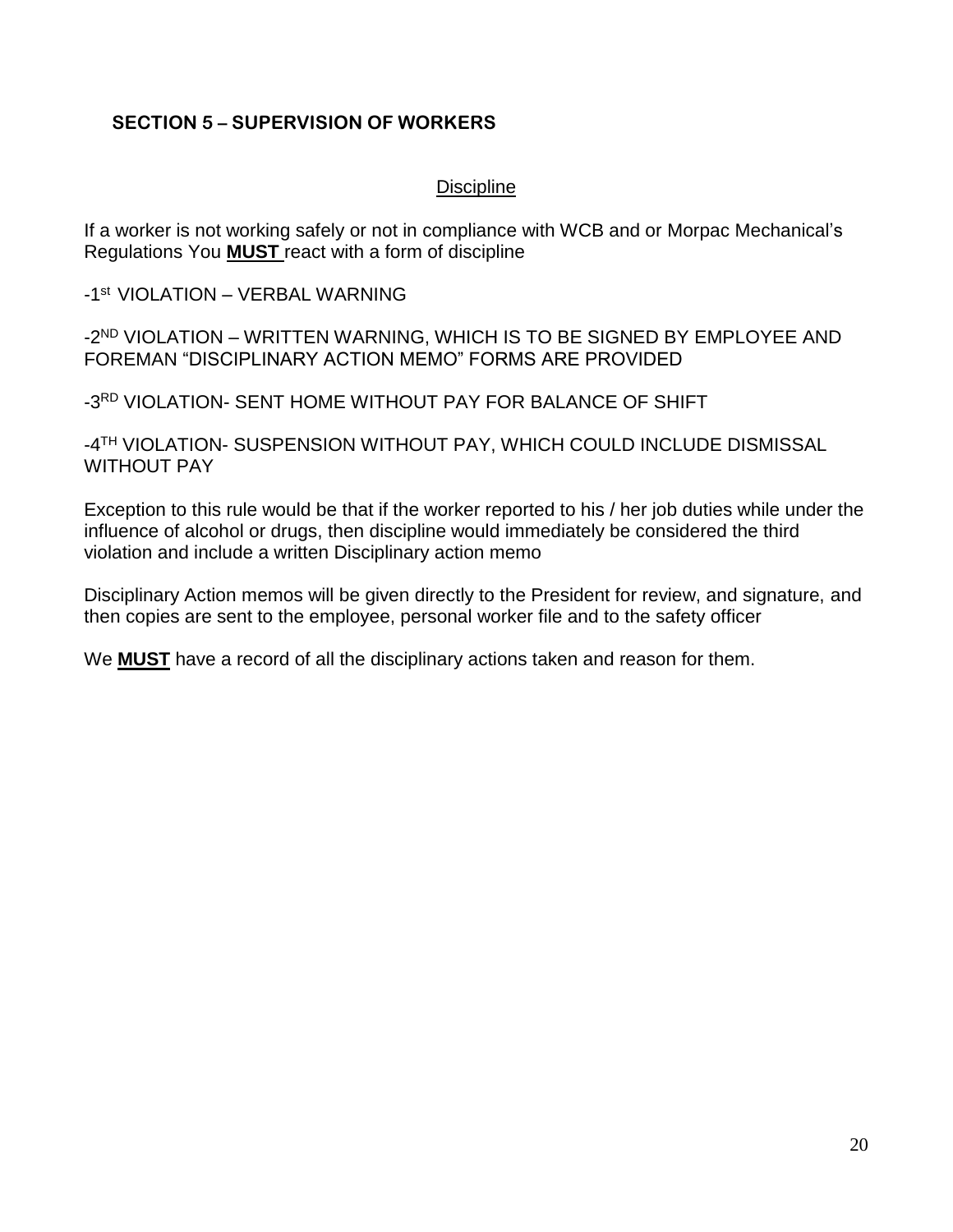## **SECTION 5 – SUPERVISION OF WORKERS**

### **Discipline**

If a worker is not working safely or not in compliance with WCB and or Morpac Mechanical's Regulations You **MUST** react with a form of discipline

-1 st VIOLATION – VERBAL WARNING

-2<sup>ND</sup> VIOLATION – WRITTEN WARNING, WHICH IS TO BE SIGNED BY EMPLOYEE AND FOREMAN "DISCIPLINARY ACTION MEMO" FORMS ARE PROVIDED

-3 RD VIOLATION- SENT HOME WITHOUT PAY FOR BALANCE OF SHIFT

-4 TH VIOLATION- SUSPENSION WITHOUT PAY, WHICH COULD INCLUDE DISMISSAL WITHOUT PAY

Exception to this rule would be that if the worker reported to his / her job duties while under the influence of alcohol or drugs, then discipline would immediately be considered the third violation and include a written Disciplinary action memo

Disciplinary Action memos will be given directly to the President for review, and signature, and then copies are sent to the employee, personal worker file and to the safety officer

We **MUST** have a record of all the disciplinary actions taken and reason for them.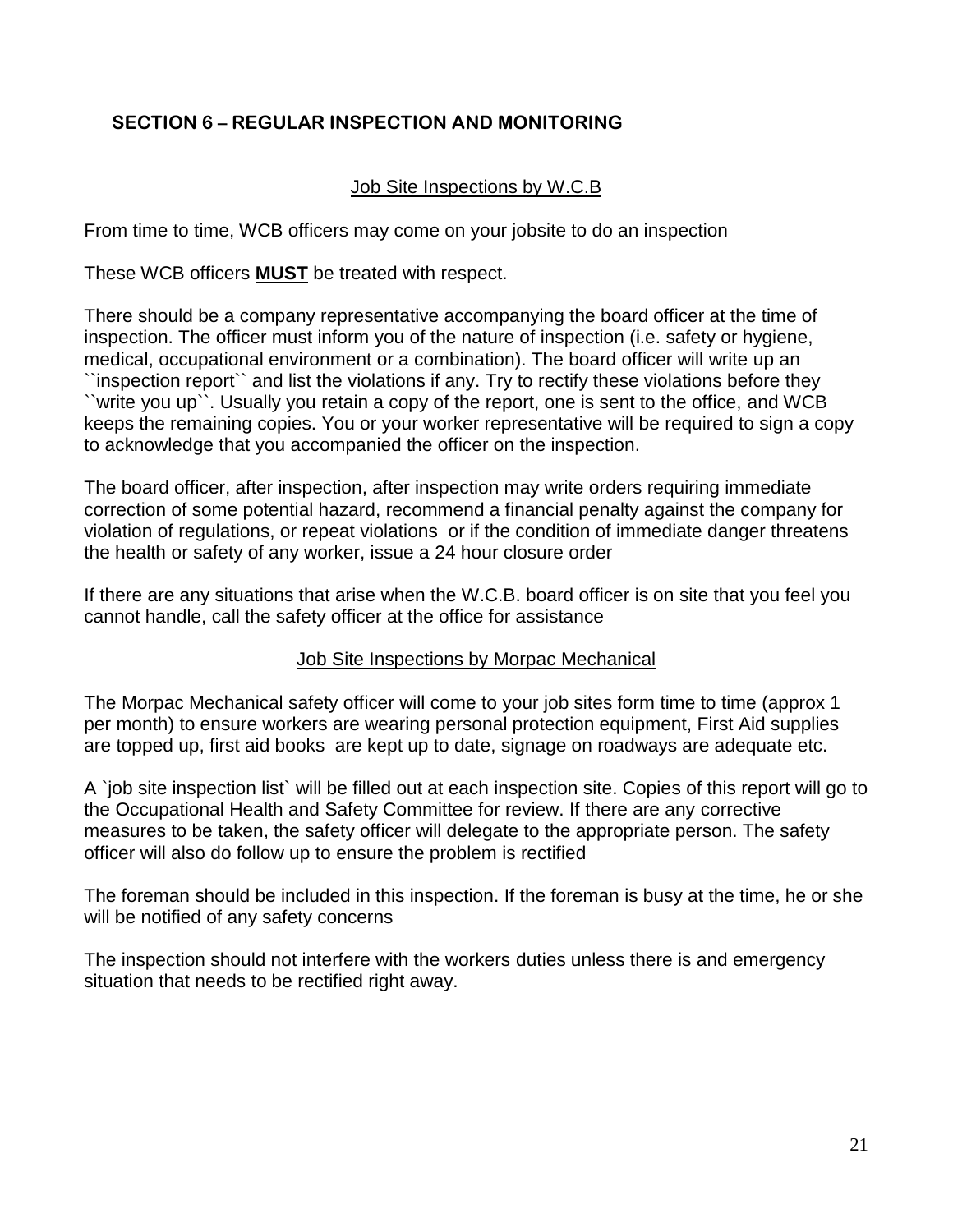# **SECTION 6 – REGULAR INSPECTION AND MONITORING**

### Job Site Inspections by W.C.B

From time to time, WCB officers may come on your jobsite to do an inspection

These WCB officers **MUST** be treated with respect.

There should be a company representative accompanying the board officer at the time of inspection. The officer must inform you of the nature of inspection (i.e. safety or hygiene, medical, occupational environment or a combination). The board officer will write up an ``inspection report`` and list the violations if any. Try to rectify these violations before they ``write you up``. Usually you retain a copy of the report, one is sent to the office, and WCB keeps the remaining copies. You or your worker representative will be required to sign a copy to acknowledge that you accompanied the officer on the inspection.

The board officer, after inspection, after inspection may write orders requiring immediate correction of some potential hazard, recommend a financial penalty against the company for violation of regulations, or repeat violations or if the condition of immediate danger threatens the health or safety of any worker, issue a 24 hour closure order

If there are any situations that arise when the W.C.B. board officer is on site that you feel you cannot handle, call the safety officer at the office for assistance

#### Job Site Inspections by Morpac Mechanical

The Morpac Mechanical safety officer will come to your job sites form time to time (approx 1 per month) to ensure workers are wearing personal protection equipment, First Aid supplies are topped up, first aid books are kept up to date, signage on roadways are adequate etc.

A `job site inspection list` will be filled out at each inspection site. Copies of this report will go to the Occupational Health and Safety Committee for review. If there are any corrective measures to be taken, the safety officer will delegate to the appropriate person. The safety officer will also do follow up to ensure the problem is rectified

The foreman should be included in this inspection. If the foreman is busy at the time, he or she will be notified of any safety concerns

The inspection should not interfere with the workers duties unless there is and emergency situation that needs to be rectified right away.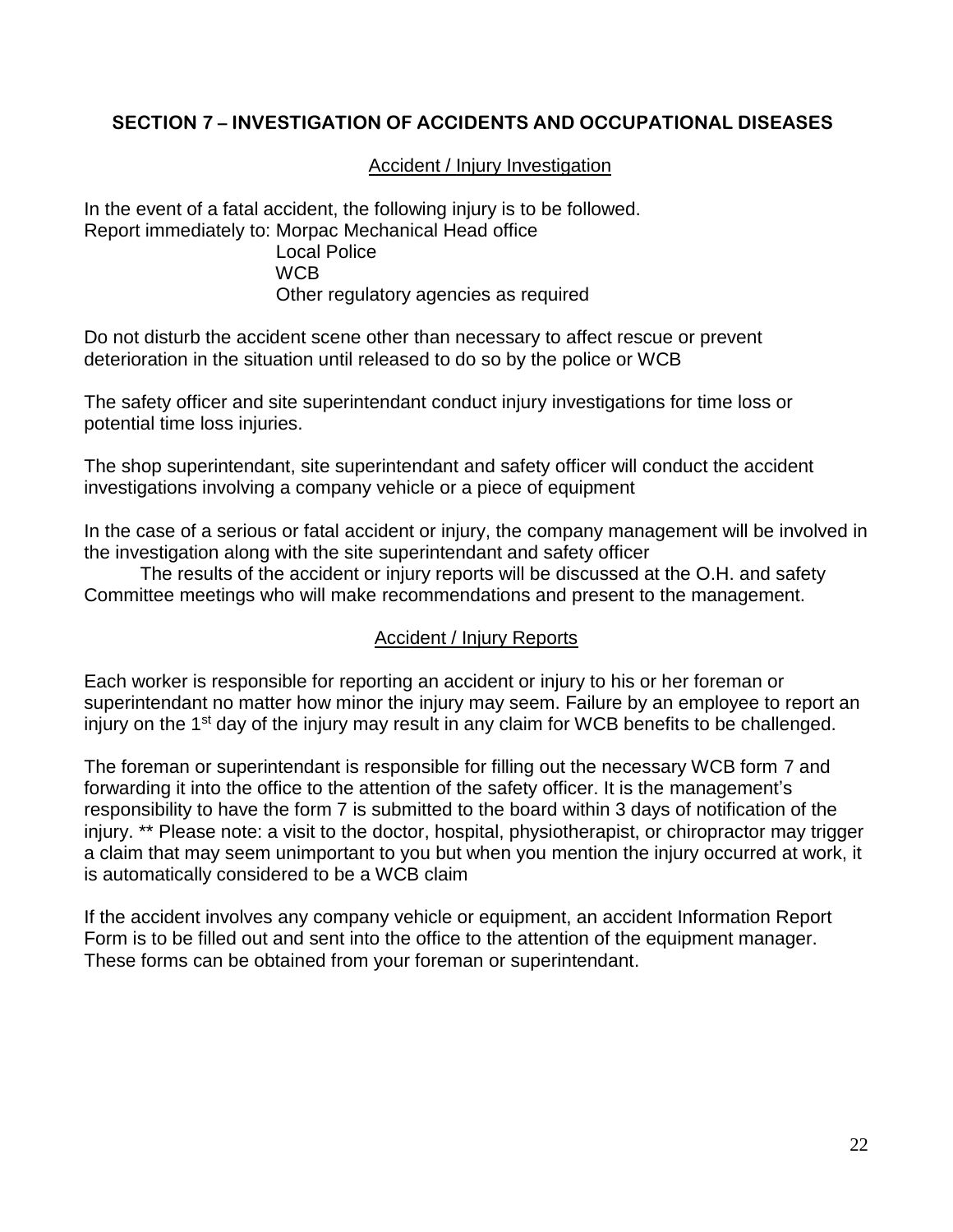## **SECTION 7 – INVESTIGATION OF ACCIDENTS AND OCCUPATIONAL DISEASES**

Accident / Injury Investigation

In the event of a fatal accident, the following injury is to be followed. Report immediately to: Morpac Mechanical Head office Local Police **WCB** Other regulatory agencies as required

Do not disturb the accident scene other than necessary to affect rescue or prevent deterioration in the situation until released to do so by the police or WCB

The safety officer and site superintendant conduct injury investigations for time loss or potential time loss injuries.

The shop superintendant, site superintendant and safety officer will conduct the accident investigations involving a company vehicle or a piece of equipment

In the case of a serious or fatal accident or injury, the company management will be involved in the investigation along with the site superintendant and safety officer

The results of the accident or injury reports will be discussed at the O.H. and safety Committee meetings who will make recommendations and present to the management.

#### Accident / Injury Reports

Each worker is responsible for reporting an accident or injury to his or her foreman or superintendant no matter how minor the injury may seem. Failure by an employee to report an injury on the 1<sup>st</sup> day of the injury may result in any claim for WCB benefits to be challenged.

The foreman or superintendant is responsible for filling out the necessary WCB form 7 and forwarding it into the office to the attention of the safety officer. It is the management's responsibility to have the form 7 is submitted to the board within 3 days of notification of the injury. \*\* Please note: a visit to the doctor, hospital, physiotherapist, or chiropractor may trigger a claim that may seem unimportant to you but when you mention the injury occurred at work, it is automatically considered to be a WCB claim

If the accident involves any company vehicle or equipment, an accident Information Report Form is to be filled out and sent into the office to the attention of the equipment manager. These forms can be obtained from your foreman or superintendant.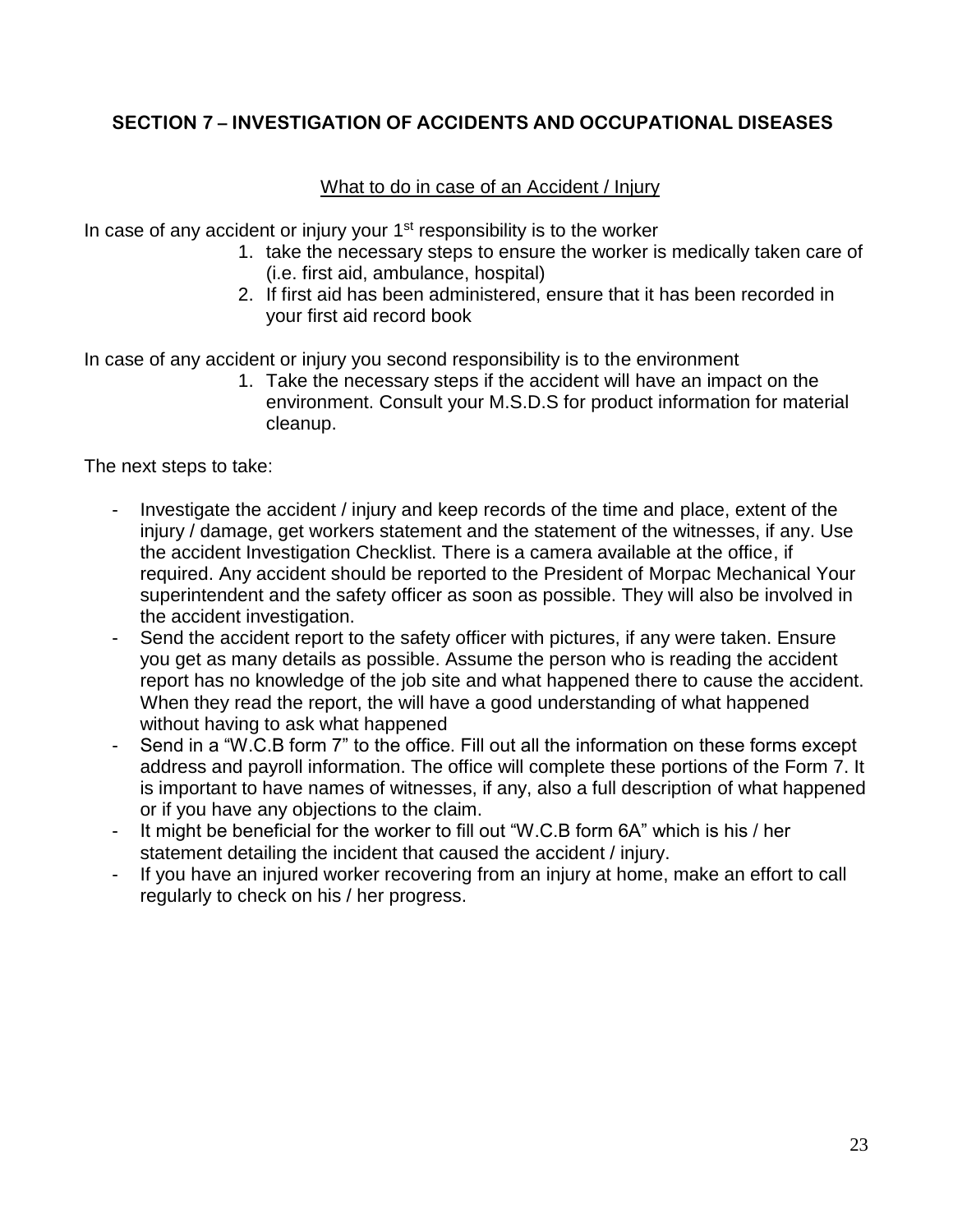# **SECTION 7 – INVESTIGATION OF ACCIDENTS AND OCCUPATIONAL DISEASES**

# What to do in case of an Accident / Injury

In case of any accident or injury your  $1<sup>st</sup>$  responsibility is to the worker

- 1. take the necessary steps to ensure the worker is medically taken care of (i.e. first aid, ambulance, hospital)
- 2. If first aid has been administered, ensure that it has been recorded in your first aid record book

In case of any accident or injury you second responsibility is to the environment

1. Take the necessary steps if the accident will have an impact on the environment. Consult your M.S.D.S for product information for material cleanup.

The next steps to take:

- Investigate the accident / injury and keep records of the time and place, extent of the injury / damage, get workers statement and the statement of the witnesses, if any. Use the accident Investigation Checklist. There is a camera available at the office, if required. Any accident should be reported to the President of Morpac Mechanical Your superintendent and the safety officer as soon as possible. They will also be involved in the accident investigation.
- Send the accident report to the safety officer with pictures, if any were taken. Ensure you get as many details as possible. Assume the person who is reading the accident report has no knowledge of the job site and what happened there to cause the accident. When they read the report, the will have a good understanding of what happened without having to ask what happened
- Send in a "W.C.B form 7" to the office. Fill out all the information on these forms except address and payroll information. The office will complete these portions of the Form 7. It is important to have names of witnesses, if any, also a full description of what happened or if you have any objections to the claim.
- It might be beneficial for the worker to fill out "W.C.B form 6A" which is his / her statement detailing the incident that caused the accident / injury.
- If you have an injured worker recovering from an injury at home, make an effort to call regularly to check on his / her progress.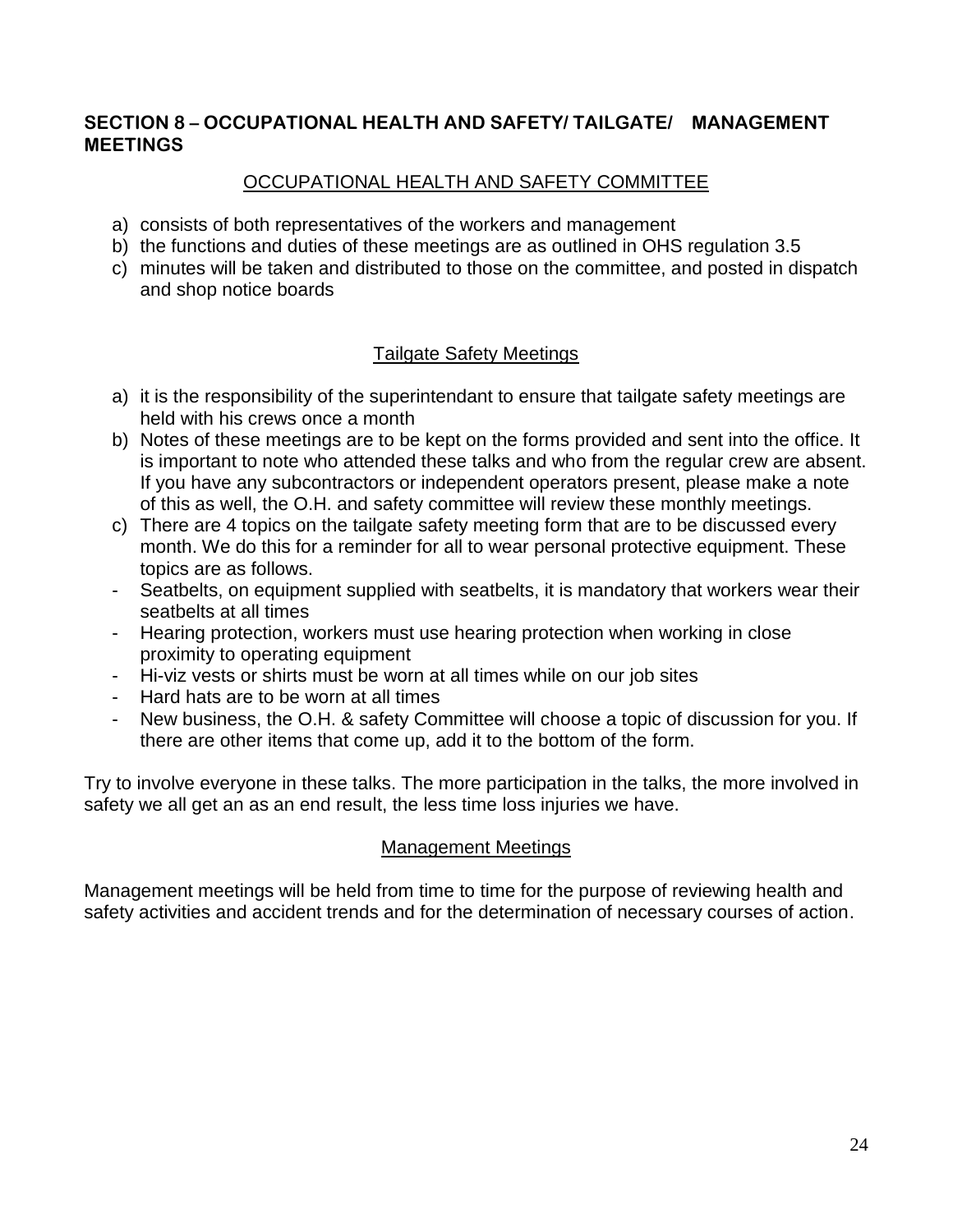## **SECTION 8 – OCCUPATIONAL HEALTH AND SAFETY/ TAILGATE/ MANAGEMENT MEETINGS**

# OCCUPATIONAL HEALTH AND SAFETY COMMITTEE

- a) consists of both representatives of the workers and management
- b) the functions and duties of these meetings are as outlined in OHS regulation 3.5
- c) minutes will be taken and distributed to those on the committee, and posted in dispatch and shop notice boards

# Tailgate Safety Meetings

- a) it is the responsibility of the superintendant to ensure that tailgate safety meetings are held with his crews once a month
- b) Notes of these meetings are to be kept on the forms provided and sent into the office. It is important to note who attended these talks and who from the regular crew are absent. If you have any subcontractors or independent operators present, please make a note of this as well, the O.H. and safety committee will review these monthly meetings.
- c) There are 4 topics on the tailgate safety meeting form that are to be discussed every month. We do this for a reminder for all to wear personal protective equipment. These topics are as follows.
- Seatbelts, on equipment supplied with seatbelts, it is mandatory that workers wear their seatbelts at all times
- Hearing protection, workers must use hearing protection when working in close proximity to operating equipment
- Hi-viz vests or shirts must be worn at all times while on our job sites
- Hard hats are to be worn at all times
- New business, the O.H. & safety Committee will choose a topic of discussion for you. If there are other items that come up, add it to the bottom of the form.

Try to involve everyone in these talks. The more participation in the talks, the more involved in safety we all get an as an end result, the less time loss injuries we have.

## Management Meetings

Management meetings will be held from time to time for the purpose of reviewing health and safety activities and accident trends and for the determination of necessary courses of action.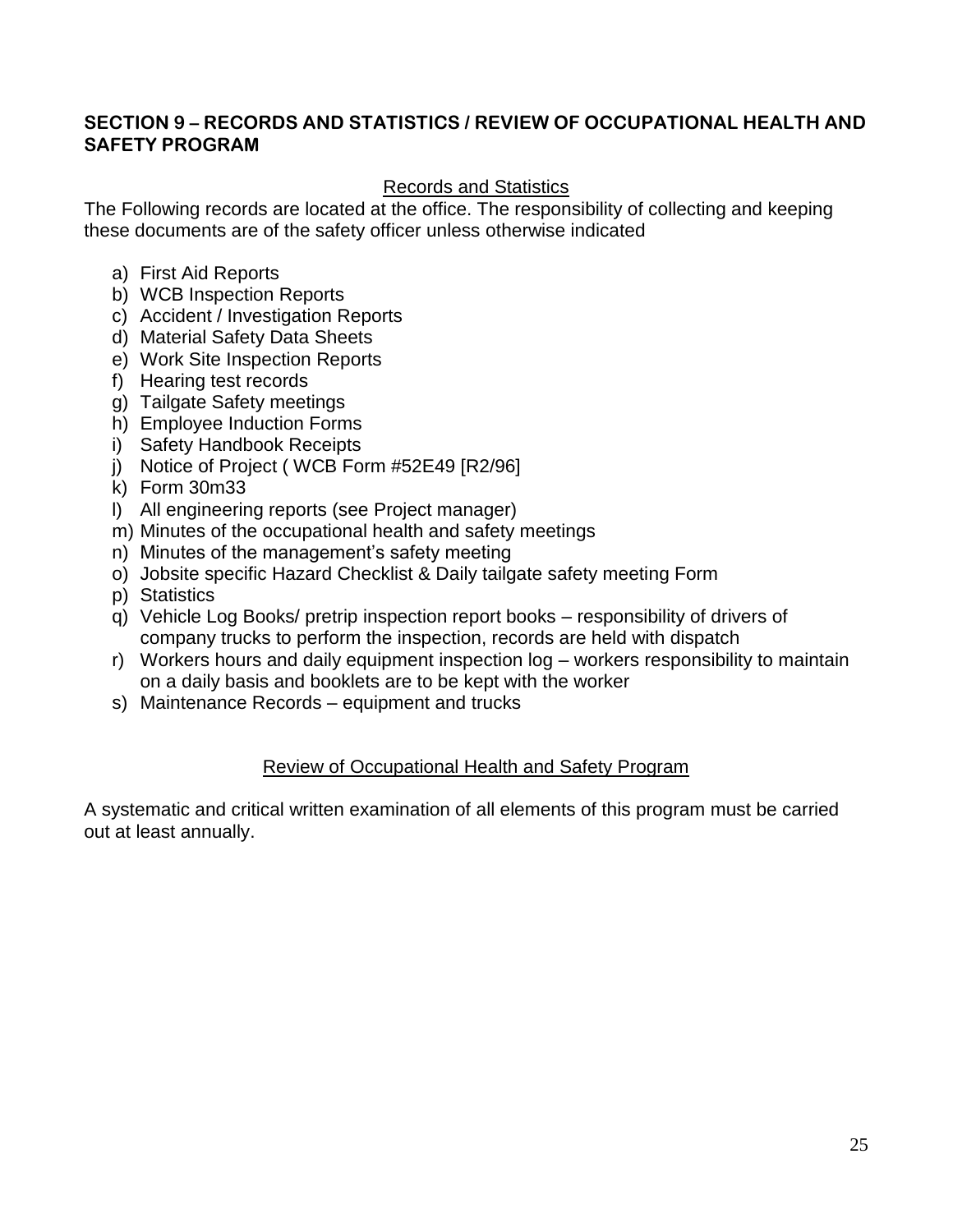### **SECTION 9 – RECORDS AND STATISTICS / REVIEW OF OCCUPATIONAL HEALTH AND SAFETY PROGRAM**

## Records and Statistics

The Following records are located at the office. The responsibility of collecting and keeping these documents are of the safety officer unless otherwise indicated

- a) First Aid Reports
- b) WCB Inspection Reports
- c) Accident / Investigation Reports
- d) Material Safety Data Sheets
- e) Work Site Inspection Reports
- f) Hearing test records
- g) Tailgate Safety meetings
- h) Employee Induction Forms
- i) Safety Handbook Receipts
- j) Notice of Project ( WCB Form #52E49 [R2/96]
- k) Form 30m33
- l) All engineering reports (see Project manager)
- m) Minutes of the occupational health and safety meetings
- n) Minutes of the management's safety meeting
- o) Jobsite specific Hazard Checklist & Daily tailgate safety meeting Form
- p) Statistics
- q) Vehicle Log Books/ pretrip inspection report books responsibility of drivers of company trucks to perform the inspection, records are held with dispatch
- r) Workers hours and daily equipment inspection log workers responsibility to maintain on a daily basis and booklets are to be kept with the worker
- s) Maintenance Records equipment and trucks

## Review of Occupational Health and Safety Program

A systematic and critical written examination of all elements of this program must be carried out at least annually.